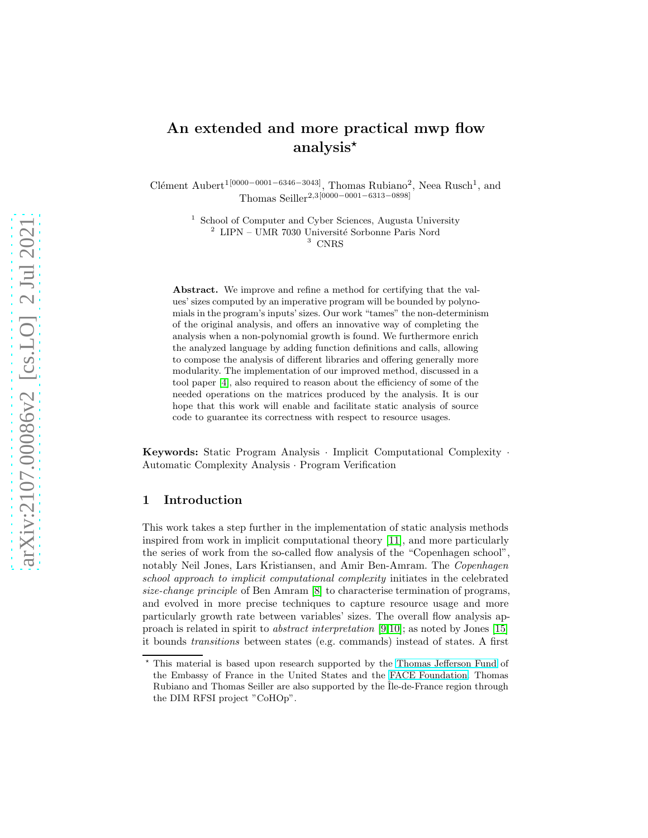# An extended and more practical mwp flow analysis<sup>\*</sup>

Clément Aubert<sup>1[0000–0001–6346–3043]</sup>, Thomas Rubiano<sup>2</sup>, Neea Rusch<sup>1</sup>, and Thomas Seiller2,3[0000−0001−6313−0898]

> 1 School of Computer and Cyber Sciences, Augusta University  $2$  LIPN – UMR 7030 Université Sorbonne Paris Nord <sup>3</sup> CNRS

Abstract. We improve and refine a method for certifying that the values' sizes computed by an imperative program will be bounded by polynomials in the program's inputs' sizes. Our work "tames" the non-determinism of the original analysis, and offers an innovative way of completing the analysis when a non-polynomial growth is found. We furthermore enrich the analyzed language by adding function definitions and calls, allowing to compose the analysis of different libraries and offering generally more modularity. The implementation of our improved method, discussed in a tool paper [\[4\]](#page-15-0), also required to reason about the efficiency of some of the needed operations on the matrices produced by the analysis. It is our hope that this work will enable and facilitate static analysis of source code to guarantee its correctness with respect to resource usages.

Keywords: Static Program Analysis · Implicit Computational Complexity · Automatic Complexity Analysis · Program Verification

# 1 Introduction

This work takes a step further in the implementation of static analysis methods inspired from work in implicit computational theory [\[11\]](#page-16-0), and more particularly the series of work from the so-called flow analysis of the "Copenhagen school", notably Neil Jones, Lars Kristiansen, and Amir Ben-Amram. The Copenhagen school approach to implicit computational complexity initiates in the celebrated size-change principle of Ben Amram [\[8\]](#page-15-1) to characterise termination of programs, and evolved in more precise techniques to capture resource usage and more particularly growth rate between variables' sizes. The overall flow analysis approach is related in spirit to abstract interpretation [\[9,](#page-16-1)[10\]](#page-16-2); as noted by Jones [\[15\]](#page-16-3) it bounds transitions between states (e.g. commands) instead of states. A first

<sup>⋆</sup> This material is based upon research supported by the Thomas [Jefferson Fund](https://face-foundation.org/higher-education/thomas-jefferson-fund/) of the Embassy of France in the United States and the [FACE Foundation.](https://face-foundation.org/) Thomas Rubiano and Thomas Seiller are also supported by the  $\tilde{I}$ le-de-France region through the DIM RFSI project "CoHOp".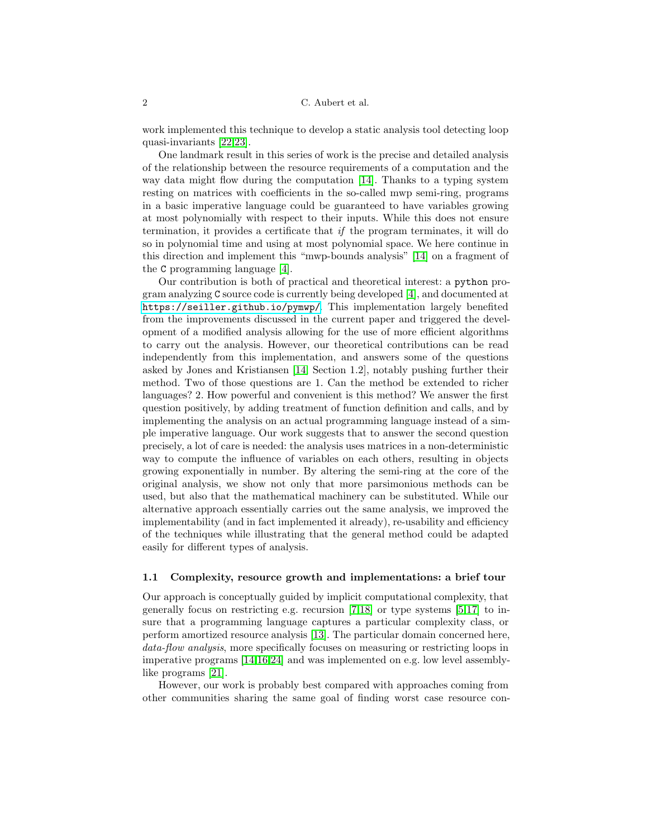work implemented this technique to develop a static analysis tool detecting loop quasi-invariants [\[22,](#page-17-0)[23\]](#page-17-1).

One landmark result in this series of work is the precise and detailed analysis of the relationship between the resource requirements of a computation and the way data might flow during the computation [\[14\]](#page-16-4). Thanks to a typing system resting on matrices with coefficients in the so-called mwp semi-ring, programs in a basic imperative language could be guaranteed to have variables growing at most polynomially with respect to their inputs. While this does not ensure termination, it provides a certificate that if the program terminates, it will do so in polynomial time and using at most polynomial space. We here continue in this direction and implement this "mwp-bounds analysis" [\[14\]](#page-16-4) on a fragment of the C programming language [\[4\]](#page-15-0).

Our contribution is both of practical and theoretical interest: a python program analyzing C source code is currently being developed [\[4\]](#page-15-0), and documented at <https://seiller.github.io/pymwp/>. This implementation largely benefited from the improvements discussed in the current paper and triggered the development of a modified analysis allowing for the use of more efficient algorithms to carry out the analysis. However, our theoretical contributions can be read independently from this implementation, and answers some of the questions asked by Jones and Kristiansen [\[14,](#page-16-4) Section 1.2], notably pushing further their method. Two of those questions are 1. Can the method be extended to richer languages? 2. How powerful and convenient is this method? We answer the first question positively, by adding treatment of function definition and calls, and by implementing the analysis on an actual programming language instead of a simple imperative language. Our work suggests that to answer the second question precisely, a lot of care is needed: the analysis uses matrices in a non-deterministic way to compute the influence of variables on each others, resulting in objects growing exponentially in number. By altering the semi-ring at the core of the original analysis, we show not only that more parsimonious methods can be used, but also that the mathematical machinery can be substituted. While our alternative approach essentially carries out the same analysis, we improved the implementability (and in fact implemented it already), re-usability and efficiency of the techniques while illustrating that the general method could be adapted easily for different types of analysis.

### 1.1 Complexity, resource growth and implementations: a brief tour

Our approach is conceptually guided by implicit computational complexity, that generally focus on restricting e.g. recursion [\[7](#page-15-2)[,18\]](#page-16-5) or type systems [\[5](#page-15-3)[,17\]](#page-16-6) to insure that a programming language captures a particular complexity class, or perform amortized resource analysis [\[13\]](#page-16-7). The particular domain concerned here, data-flow analysis, more specifically focuses on measuring or restricting loops in imperative programs [\[14](#page-16-4)[,16,](#page-16-8)[24\]](#page-17-2) and was implemented on e.g. low level assemblylike programs [\[21\]](#page-17-3).

However, our work is probably best compared with approaches coming from other communities sharing the same goal of finding worst case resource con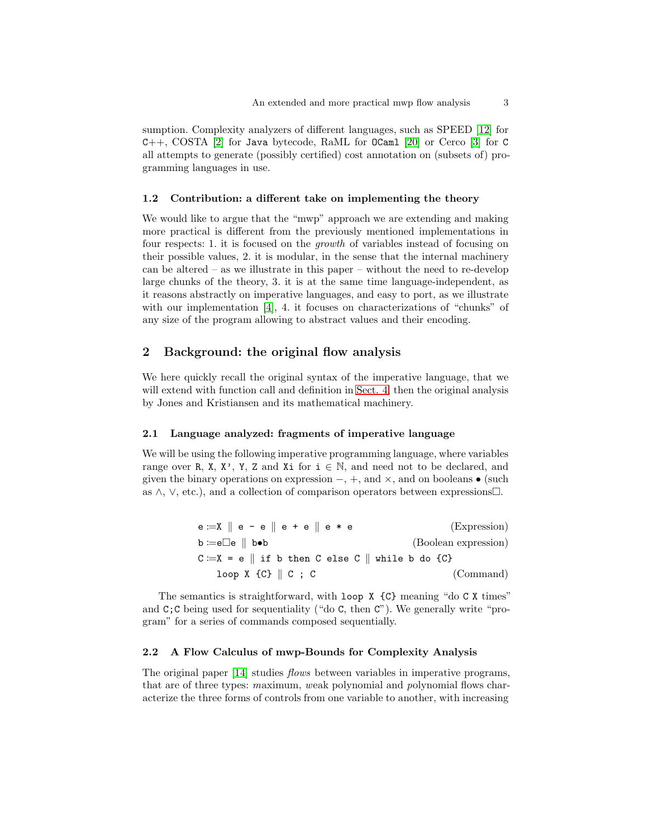sumption. Complexity analyzers of different languages, such as SPEED [\[12\]](#page-16-9) for C++, COSTA [\[2\]](#page-15-4) for Java bytecode, RaML for OCaml [\[20\]](#page-16-10) or Cerco [\[3\]](#page-15-5) for C all attempts to generate (possibly certified) cost annotation on (subsets of) programming languages in use.

### 1.2 Contribution: a different take on implementing the theory

We would like to argue that the "mwp" approach we are extending and making more practical is different from the previously mentioned implementations in four respects: 1. it is focused on the growth of variables instead of focusing on their possible values, 2. it is modular, in the sense that the internal machinery can be altered – as we illustrate in this paper – without the need to re-develop large chunks of the theory, 3. it is at the same time language-independent, as it reasons abstractly on imperative languages, and easy to port, as we illustrate with our implementation [\[4\]](#page-15-0), 4. it focuses on characterizations of "chunks" of any size of the program allowing to abstract values and their encoding.

# 2 Background: the original flow analysis

We here quickly recall the original syntax of the imperative language, that we will extend with function call and definition in [Sect. 4,](#page-10-0) then the original analysis by Jones and Kristiansen and its mathematical machinery.

### <span id="page-2-0"></span>2.1 Language analyzed: fragments of imperative language

We will be using the following imperative programming language, where variables range over R, X, X', Y, Z and Xi for  $i \in \mathbb{N}$ , and need not to be declared, and given the binary operations on expression  $-, +$ , and  $\times$ , and on booleans • (such as  $\wedge$ ,  $\vee$ , etc.), and a collection of comparison operators between expressions.

| $e := X \parallel e - e \parallel e + e \parallel e * e$                           | (Expression)         |
|------------------------------------------------------------------------------------|----------------------|
| $\mathbf{b} := \mathbf{e} \Box \mathbf{e} \parallel \mathbf{b} \bullet \mathbf{b}$ | (Boolean expression) |
| $C := X = e \parallel if b then C else C \parallel while b do \{C\}$               |                      |
| $loop X {C}    C ; C$                                                              | (Command)            |

The semantics is straightforward, with loop X  $\{C\}$  meaning "do C X times" and  $C$ ; C being used for sequentiality ("do C, then  $C$ "). We generally write "program" for a series of commands composed sequentially.

### 2.2 A Flow Calculus of mwp-Bounds for Complexity Analysis

The original paper [\[14\]](#page-16-4) studies flows between variables in imperative programs, that are of three types: maximum, weak polynomial and polynomial flows characterize the three forms of controls from one variable to another, with increasing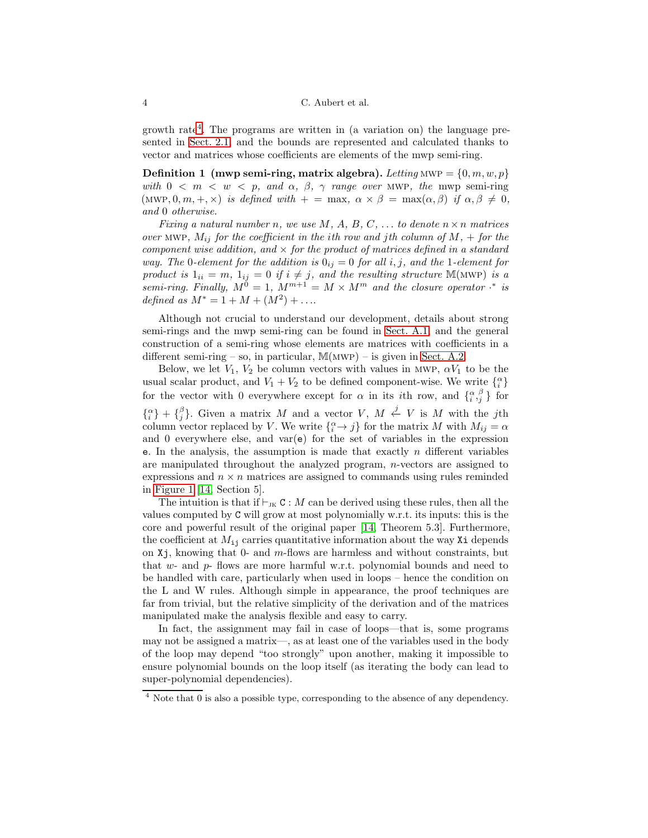growth rate[4](#page-3-0) . The programs are written in (a variation on) the language presented in [Sect. 2.1,](#page-2-0) and the bounds are represented and calculated thanks to vector and matrices whose coefficients are elements of the mwp semi-ring.

<span id="page-3-1"></span>**Definition 1** (mwp semi-ring, matrix algebra). Letting MWP =  $\{0, m, w, p\}$ with  $0 < m < w < p$ , and  $\alpha$ ,  $\beta$ ,  $\gamma$  range over MWP, the mwp semi-ring (MWP, 0, m, +, x) is defined with  $+ = \max$ ,  $\alpha \times \beta = \max(\alpha, \beta)$  if  $\alpha, \beta \neq 0$ , and 0 otherwise.

Fixing a natural number n, we use  $M, A, B, C, \ldots$  to denote  $n \times n$  matrices over MWP,  $M_{ij}$  for the coefficient in the ith row and jth column of  $M$ , + for the component wise addition, and  $\times$  for the product of matrices defined in a standard way. The 0-element for the addition is  $0_{ij} = 0$  for all i, j, and the 1-element for product is  $1_{ii} = m$ ,  $1_{ij} = 0$  if  $i \neq j$ , and the resulting structure M(MWP) is a semi-ring. Finally,  $M^0 = 1$ ,  $M^{m+1} = M \times M^m$  and the closure operator  $\cdot^*$  is defined as  $M^* = 1 + M + (M^2) + \dots$ 

Although not crucial to understand our development, details about strong semi-rings and the mwp semi-ring can be found in [Sect. A.1,](#page-17-4) and the general construction of a semi-ring whose elements are matrices with coefficients in a different semi-ring – so, in particular,  $M(MWP)$  – is given in [Sect. A.2.](#page-20-0)

Below, we let  $V_1$ ,  $V_2$  be column vectors with values in MWP,  $\alpha V_1$  to be the usual scalar product, and  $V_1 + V_2$  to be defined component-wise. We write  $\{^{\alpha}_{i}\}$ for the vector with 0 everywhere except for  $\alpha$  in its *i*th row, and  $\{a_i^{\beta}\}\$  for  $\{^{\alpha}_{i}\} + \{^{\beta}_{j}\}.$  Given a matrix M and a vector V,  $M \stackrel{j}{\leftarrow} V$  is M with the jth column vector replaced by V. We write  $\{^{\alpha}_{i} \rightarrow j\}$  for the matrix M with  $M_{ij} = \alpha$ and 0 everywhere else, and  $var(e)$  for the set of variables in the expression e. In the analysis, the assumption is made that exactly n different variables are manipulated throughout the analyzed program, n-vectors are assigned to expressions and  $n \times n$  matrices are assigned to commands using rules reminded in [Figure 1](#page-4-0) [\[14,](#page-16-4) Section 5].

The intuition is that if  $\vdash_{\text{\rm JK}} C : M$  can be derived using these rules, then all the values computed by C will grow at most polynomially w.r.t. its inputs: this is the core and powerful result of the original paper [\[14,](#page-16-4) Theorem 5.3]. Furthermore, the coefficient at  $M_{ij}$  carries quantitative information about the way Xi depends on  $Xj$ , knowing that 0- and m-flows are harmless and without constraints, but that w- and p- flows are more harmful w.r.t. polynomial bounds and need to be handled with care, particularly when used in loops – hence the condition on the L and W rules. Although simple in appearance, the proof techniques are far from trivial, but the relative simplicity of the derivation and of the matrices manipulated make the analysis flexible and easy to carry.

In fact, the assignment may fail in case of loops—that is, some programs may not be assigned a matrix—, as at least one of the variables used in the body of the loop may depend "too strongly" upon another, making it impossible to ensure polynomial bounds on the loop itself (as iterating the body can lead to super-polynomial dependencies).

<span id="page-3-0"></span><sup>4</sup> Note that 0 is also a possible type, corresponding to the absence of any dependency.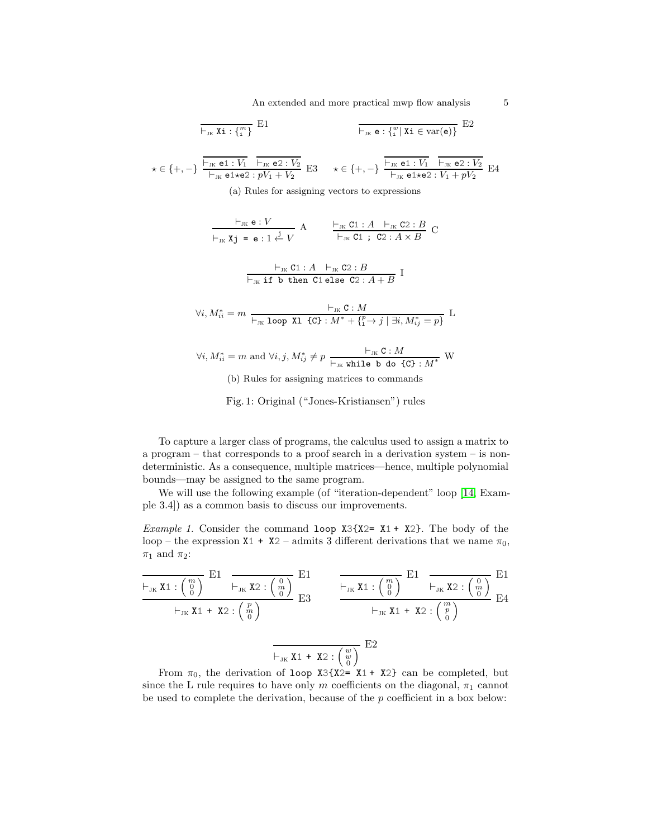An extended and more practical mwp flow analysis 5

<span id="page-4-0"></span>
$$
E_1 \leftarrow F_{JK} \mathbf{Xi} : \{ \frac{m}{i} \} \mathbf{E}1
$$
\n
$$
\frac{1}{\sum_{i} \mathbf{K} \mathbf{e} : \{ \frac{m}{i} \mid \mathbf{Xi} \in \text{var}(\mathbf{e}) \}} \mathbf{E}2
$$
\n
$$
\star \in \{+, -\} \frac{\frac{1}{\sum_{i} \mathbf{K} \mathbf{e} \mathbf{1} : V_1}{\sum_{i} \mathbf{K} \mathbf{e} \mathbf{1} : V_2}}{\sum_{i} \mathbf{K} \mathbf{e} \mathbf{1} : V_1 + V_2} \mathbf{E}3 \quad \star \in \{+, -\} \frac{\frac{1}{\sum_{i} \mathbf{K} \mathbf{e} \mathbf{1} : V_1}{\sum_{i} \mathbf{K} \mathbf{e} \mathbf{2} : V_2}}{\sum_{i} \mathbf{K} \mathbf{e} \mathbf{1} : V_1 + pV_2} \mathbf{E}4
$$
\n(a) Rules for assigning vectors to expressions\n
$$
\frac{\frac{1}{\sum_{i} \mathbf{K} \mathbf{e} : V}{\sum_{i} \mathbf{K} \mathbf{e} : V_1 + pV_1}}{\sum_{i} \mathbf{K} \mathbf{e} : V_2 + pV_2} \mathbf{A} \quad \frac{\frac{1}{\sum_{i} \mathbf{K} \mathbf{C} \mathbf{1} : A \sum_{i} \mathbf{C} \mathbf{2} : B}{\sum_{i} \mathbf{K} \mathbf{C} \mathbf{1} : S_1 + S_2 + S_1} \mathbf{C}
$$
\n
$$
\frac{\frac{1}{\sum_{i} \mathbf{K} \mathbf{C} \mathbf{1} : A \sum_{i} \mathbf{C} \mathbf{2} : B}{\sum_{i} \mathbf{K} \mathbf{B} \mathbf{B} \mathbf{C} \mathbf{1} : S_1 + S_1} \mathbf{I}
$$
\n
$$
\forall i, M_{ii}^* = m \frac{\frac{1}{\sum_{i} \mathbf{K} \mathbf{C} : M}{\sum_{i} \mathbf{K} \mathbf{A} \mathbf{C} \mathbf{B} : V_1 + V_1 - V_2} \mathbf{I} \mathbf{B} \mathbf{A
$$

To capture a larger class of programs, the calculus used to assign a matrix to a program – that corresponds to a proof search in a derivation system – is nondeterministic. As a consequence, multiple matrices—hence, multiple polynomial bounds—may be assigned to the same program.

<span id="page-4-1"></span>We will use the following example (of "iteration-dependent" loop [\[14,](#page-16-4) Example 3.4]) as a common basis to discuss our improvements.

*Example 1.* Consider the command loop  $X3{X2= X1 + X2}$ . The body of the loop – the expression  $X1 + X2$  – admits 3 different derivations that we name  $\pi_0$ ,  $\pi_1$  and  $\pi_2$ :

$$
\frac{\begin{array}{c}\n\vdash_{JK} \mathbf{X1}: \begin{pmatrix} m \\ 0 \end{pmatrix} \quad \mathbf{E1} \quad \overline{\begin{array}{c}\n\vdash_{JK} \mathbf{X2}: \begin{pmatrix} 0 \\ m \end{pmatrix} \quad \mathbf{E1} \quad \overline{\begin{array}{c}\n\vdash_{JK} \mathbf{X1}: \begin{pmatrix} m \\ 0 \end{pmatrix} \quad \mathbf{E1} \quad \overline{\begin{array}{c}\n\vdash_{JK} \mathbf{X2}: \begin{pmatrix} 0 \\ m \end{pmatrix} \quad \mathbf{E1} \n\end{array}} \\
\begin{array}{c}\n\vdash_{JK} \mathbf{X1} + \mathbf{X2}: \begin{pmatrix} p \\ m \end{pmatrix} \quad \overline{\begin{array}{c}\n\vdash_{JK} \mathbf{X2}: \begin{pmatrix} 0 \\ m \end{pmatrix} \quad \mathbf{E2}} \\
\end{array}} \\
\begin{array}{c}\n\hline\n\vdash_{JK} \mathbf{X1} + \mathbf{X2}: \begin{pmatrix} w \\ 0 \end{pmatrix} \quad \mathbf{E2} \quad \overline{\begin{array}{c}\n\vdash_{JK} \mathbf{X1} + \mathbf{X2}: \begin{pmatrix} w \\ 0 \end{pmatrix} \quad \mathbf{E2}} \\
\hline\n\text{From } \pi_0, \text{ the derivation of loop } \mathbf{X3} \{ \mathbf{X2} = \mathbf{X1} + \mathbf{X2} \} \text{ can be completed, but}\n\end{array}
$$

From  $\pi_0$ , the derivation of loop X3{X2= X1 + X2} can be completed, but since the L rule requires to have only m coefficients on the diagonal,  $\pi_1$  cannot be used to complete the derivation, because of the  $p$  coefficient in a box below: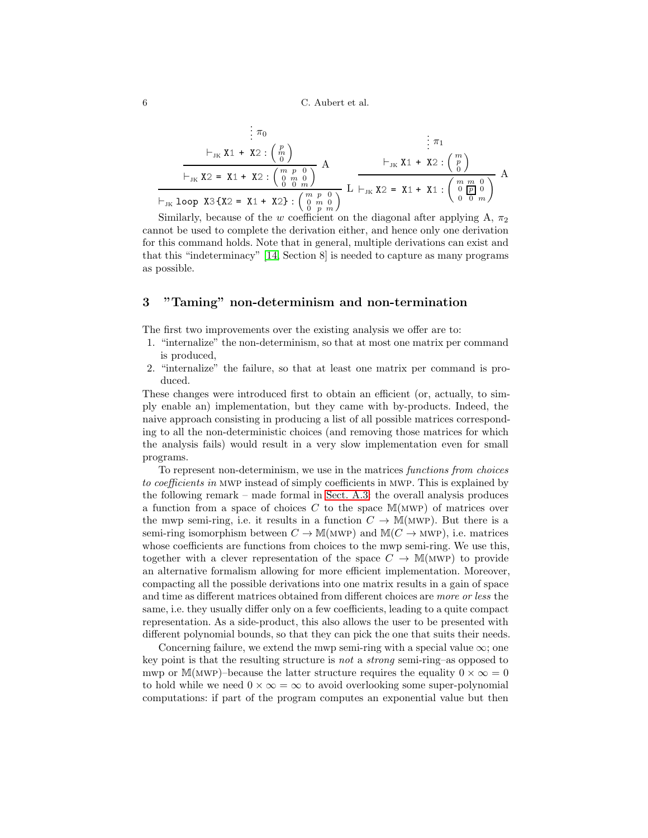6 C. Aubert et al.

$$
\frac{\n}{\begin{array}{r}\n\vdots \pi_{0} \\
\vdots \pi_{1} \\
\hline\n\end{array}\n\qquad\n\begin{array}{r}\n\vdots \pi_{1} \\
\vdots \pi_{1} \\
\hline\n\end{array}\n\qquad\n\begin{array}{r}\n\vdots \pi_{1} \\
\vdots \pi_{2} \\
\hline\n\end{array}\n\qquad\n\begin{array}{r}\n\vdots \pi_{1} \\
\vdots \pi_{2} \\
\hline\n\end{array}\n\qquad\n\begin{array}{r}\n\vdots \pi_{1} \\
\vdots \pi_{2} \\
\hline\n\end{array}\n\qquad\n\begin{array}{r}\n\vdots \pi_{1} \\
\vdots \pi_{2} \\
\hline\n\end{array}\n\qquad\n\begin{array}{r}\n\vdots \pi_{1} \\
\vdots \pi_{2} \\
\hline\n\end{array}\n\qquad\n\begin{array}{r}\n\vdots \pi_{1} \\
\vdots \pi_{2} \\
\hline\n\end{array}\n\qquad\n\begin{array}{r}\n\vdots \pi_{1} \\
\vdots \pi_{2} \\
\hline\n\end{array}\n\qquad\n\begin{array}{r}\n\vdots \pi_{2} \\
\vdots \pi_{2} \\
\hline\n\end{array}\n\qquad\n\begin{array}{r}\n\vdots \pi_{1} \\
\vdots \pi_{2} \\
\hline\n\end{array}\n\qquad\n\begin{array}{r}\n\vdots \pi_{2} \\
\vdots \pi_{2} \\
\hline\n\end{array}\n\qquad\n\begin{array}{r}\n\vdots \pi_{1} \\
\vdots \pi_{2} \\
\hline\n\end{array}\n\qquad\n\begin{array}{r}\n\vdots \pi_{1} \\
\vdots \pi_{2} \\
\hline\n\end{array}\n\qquad\n\begin{array}{r}\n\vdots \pi_{1} \\
\vdots \pi_{2} \\
\hline\n\end{array}\n\qquad\n\begin{array}{r}\n\vdots \pi_{2} \\
\vdots \pi_{2} \\
\hline\n\end{array}\n\qquad\n\begin{array}{r}\n\vdots \pi_{1} \\
\vdots \pi_{2} \\
\hline\n\end{array}\n\qquad\n\begin{array}{r}\n\vdots \pi_{2} \\
\vdots \pi_{2} \\
\hline\n\end{array}\n\qquad\n\begin{array}{r}\n\vdots \pi_{1} \\
\vdots \pi_{2} \\
\hline\n\end{array}\
$$

Similarly, because of the w coefficient on the diagonal after applying A,  $\pi_2$ cannot be used to complete the derivation either, and hence only one derivation for this command holds. Note that in general, multiple derivations can exist and that this "indeterminacy" [\[14,](#page-16-4) Section 8] is needed to capture as many programs as possible.

# 3 "Taming" non-determinism and non-termination

The first two improvements over the existing analysis we offer are to:

- 1. "internalize" the non-determinism, so that at most one matrix per command is produced,
- 2. "internalize" the failure, so that at least one matrix per command is produced.

These changes were introduced first to obtain an efficient (or, actually, to simply enable an) implementation, but they came with by-products. Indeed, the naive approach consisting in producing a list of all possible matrices corresponding to all the non-deterministic choices (and removing those matrices for which the analysis fails) would result in a very slow implementation even for small programs.

To represent non-determinism, we use in the matrices functions from choices to coefficients in mwp instead of simply coefficients in mwp. This is explained by the following remark – made formal in [Sect. A.3:](#page-23-0) the overall analysis produces a function from a space of choices C to the space  $\mathbb{M}(\text{MWP})$  of matrices over the mwp semi-ring, i.e. it results in a function  $C \to M(MWP)$ . But there is a semi-ring isomorphism between  $C \to M(MWP)$  and  $M(C \to MWP)$ , i.e. matrices whose coefficients are functions from choices to the mwp semi-ring. We use this, together with a clever representation of the space  $C \to M(MWP)$  to provide an alternative formalism allowing for more efficient implementation. Moreover, compacting all the possible derivations into one matrix results in a gain of space and time as different matrices obtained from different choices are more or less the same, i.e. they usually differ only on a few coefficients, leading to a quite compact representation. As a side-product, this also allows the user to be presented with different polynomial bounds, so that they can pick the one that suits their needs.

Concerning failure, we extend the mwp semi-ring with a special value  $\infty$ ; one key point is that the resulting structure is not a strong semi-ring–as opposed to mwp or M(MWP)–because the latter structure requires the equality  $0 \times \infty = 0$ to hold while we need  $0 \times \infty = \infty$  to avoid overlooking some super-polynomial computations: if part of the program computes an exponential value but then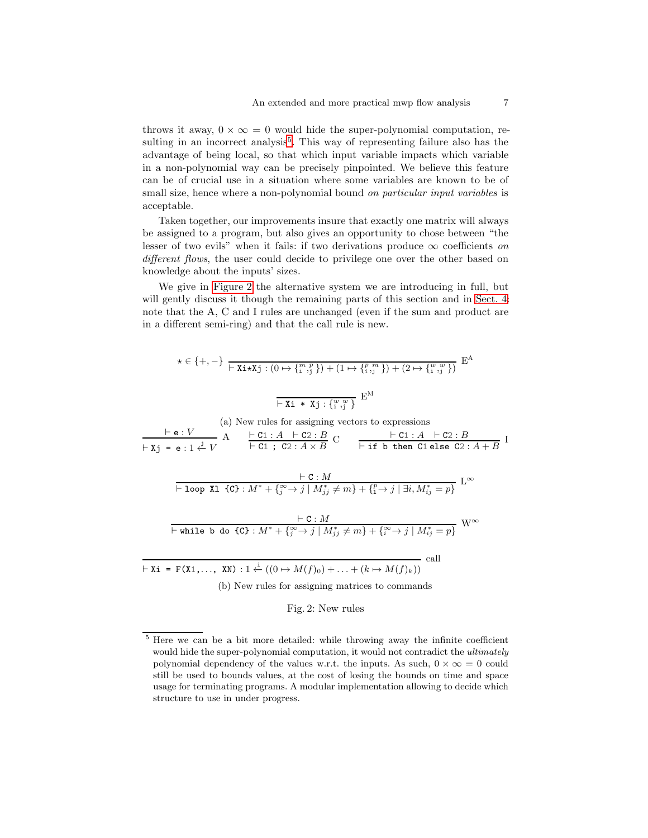throws it away,  $0 \times \infty = 0$  would hide the super-polynomial computation, re-sulting in an incorrect analysis<sup>[5](#page-6-0)</sup>. This way of representing failure also has the advantage of being local, so that which input variable impacts which variable in a non-polynomial way can be precisely pinpointed. We believe this feature can be of crucial use in a situation where some variables are known to be of small size, hence where a non-polynomial bound on particular input variables is acceptable.

Taken together, our improvements insure that exactly one matrix will always be assigned to a program, but also gives an opportunity to chose between "the lesser of two evils" when it fails: if two derivations produce  $\infty$  coefficients on different flows, the user could decide to privilege one over the other based on knowledge about the inputs' sizes.

We give in [Figure 2](#page-6-1) the alternative system we are introducing in full, but will gently discuss it though the remaining parts of this section and in [Sect. 4:](#page-10-0) note that the A, C and I rules are unchanged (even if the sum and product are in a different semi-ring) and that the call rule is new.

<span id="page-6-1"></span>
$$
\star \in \{+, -\} \xrightarrow{\text{Fix } \star \mathbf{X} \mathbf{j} : (0 \mapsto \{^m,^p\}) + (1 \mapsto \{^p,^m\}) + (2 \mapsto \{^w,^w\})} \mathbf{E}^{\mathbf{A}}
$$

$$
\xrightarrow{\text{Fix } \star \mathbf{X} \mathbf{j} : \{^w,^w\}} \mathbf{E}^{\mathbf{M}}
$$

(a) New rules for assigning vectors to expressions

$$
\frac{\vdash e:V}{\vdash x_j = e:1 \stackrel{j}{\leftarrow} V} A \qquad \frac{\vdash c1:A \quad \vdash c2:B}{\vdash c1 \quad ; \quad c2:A \times B} C \qquad \frac{\vdash c1:A \quad \vdash c2:B}{\vdash \text{if } b \text{ then } c1 \text{ else } c2:A+B} I
$$

$$
\frac{\vdash \mathtt{C}: M}{\vdash \mathtt{loop} \ \mathtt{X1} \ \mathtt{fC} \ \mathtt{C}: M^* + \{^{\infty}_j \to j \mid M^*_{jj} \neq m \} + \{^p_1 \to j \mid \exists i, M^*_{ij} = p \}} \ \mathbb{L}^{\infty}
$$

$$
\frac{\vdash c:M}{\vdash \text{while } b \text{ do } \{c\} : M^* + \{^{\infty}_j \to j \mid M^*_{jj} \neq m\} + \{^{\infty}_i \to j \mid M^*_{ij} = p\}} W^{\infty}
$$

 $\vdash$  Xi = F(X1,..., XN) : 1  $\stackrel{i}{\leftarrow} ((0 \mapsto M(f)_0) + \ldots + (k \mapsto M(f)_k))$  call

(b) New rules for assigning matrices to commands

### Fig. 2: New rules

<span id="page-6-0"></span><sup>5</sup> Here we can be a bit more detailed: while throwing away the infinite coefficient would hide the super-polynomial computation, it would not contradict the ultimately polynomial dependency of the values w.r.t. the inputs. As such,  $0 \times \infty = 0$  could still be used to bounds values, at the cost of losing the bounds on time and space usage for terminating programs. A modular implementation allowing to decide which structure to use in under progress.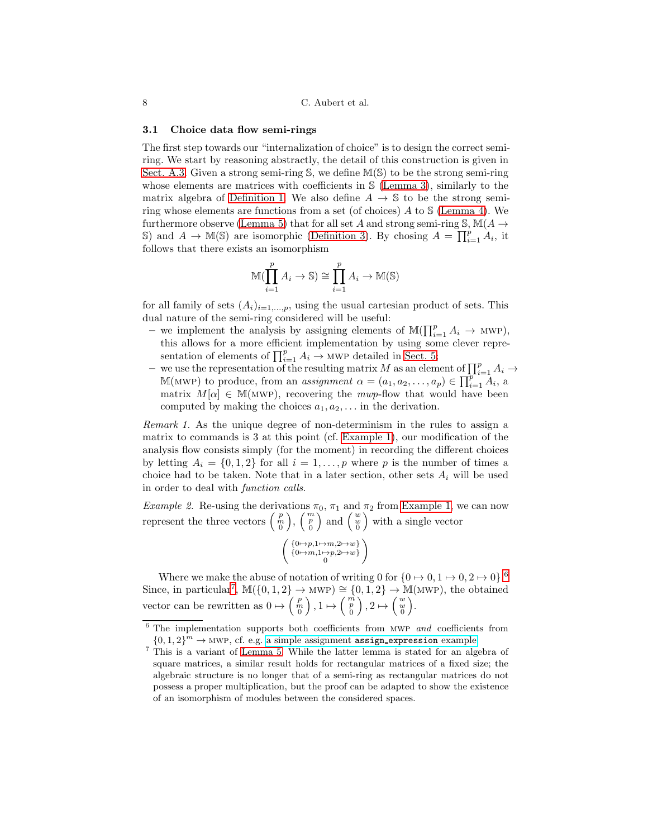#### 3.1 Choice data flow semi-rings

The first step towards our "internalization of choice" is to design the correct semiring. We start by reasoning abstractly, the detail of this construction is given in [Sect. A.3.](#page-23-0) Given a strong semi-ring S, we define M(S) to be the strong semi-ring whose elements are matrices with coefficients in S [\(Lemma 3\)](#page-20-1), similarly to the matrix algebra of [Definition 1.](#page-3-1) We also define  $A \rightarrow \mathbb{S}$  to be the strong semiring whose elements are functions from a set (of choices)  $A$  to  $S$  [\(Lemma 4\)](#page-23-1). We furthermore observe [\(Lemma 5\)](#page-25-0) that for all set A and strong semi-ring  $\mathcal{S}, \mathbb{M}(A \rightarrow$ S) and  $A \to M(S)$  are isomorphic [\(Definition 3\)](#page-25-1). By chosing  $A = \prod_{i=1}^{p} A_i$ , it follows that there exists an isomorphism

$$
\mathbb{M}(\prod_{i=1}^{p} A_i \to \mathbb{S}) \cong \prod_{i=1}^{p} A_i \to \mathbb{M}(\mathbb{S})
$$

for all family of sets  $(A_i)_{i=1,\dots,p}$ , using the usual cartesian product of sets. This dual nature of the semi-ring considered will be useful:

- we implement the analysis by assigning elements of  $\mathbb{M}(\prod_{i=1}^p A_i \to \text{MWP})$ , this allows for a more efficient implementation by using some clever representation of elements of  $\prod_{i=1}^{p} A_i \rightarrow$  MWP detailed in [Sect. 5;](#page-13-0)
- we use the representation of the resulting matrix M as an element of  $\prod_{i=1}^{p} A_i \rightarrow$ M(MWP) to produce, from an *assignment*  $\alpha = (a_1, a_2, \ldots, a_p) \in \prod_{i=1}^{p} A_i$ , a matrix  $M[\alpha] \in M(MWP)$ , recovering the mwp-flow that would have been computed by making the choices  $a_1, a_2, \ldots$  in the derivation.

Remark 1. As the unique degree of non-determinism in the rules to assign a matrix to commands is 3 at this point (cf. [Example 1\)](#page-4-1), our modification of the analysis flow consists simply (for the moment) in recording the different choices by letting  $A_i = \{0, 1, 2\}$  for all  $i = 1, \ldots, p$  where p is the number of times a choice had to be taken. Note that in a later section, other sets  $A_i$  will be used in order to deal with function calls.

Example 2. Re-using the derivations  $\pi_0$ ,  $\pi_1$  and  $\pi_2$  from [Example 1,](#page-4-1) we can now represent the three vectors  $\begin{pmatrix} p \\ m \\ 0 \end{pmatrix}$  $\Big),\,\Big(\begin{smallmatrix}m\ p\ 0\end{smallmatrix}\Big)$  $\Big)$  and  $\Big( \begin{smallmatrix} w\\ w\\ 0 \end{smallmatrix} \Big)$ with a single vector

$$
\left( \begin{smallmatrix} \{ 0 \mapsto p, 1 \mapsto m, 2 \mapsto w \} \\ \{ 0 \mapsto m, 1 \mapsto p, 2 \mapsto w \} \\ 0 \end{smallmatrix} \right)
$$

Where we make the abuse of notation of writing 0 for  $\{0 \mapsto 0, 1 \mapsto 0, 2 \mapsto 0\}$ . Since, in particular<sup>[7](#page-7-1)</sup>,  $\mathbb{M}(\{0,1,2\} \to \text{MWP}) \cong \{0,1,2\} \to \mathbb{M}(\text{MWP})$ , the obtained vector can be rewritten as  $0 \mapsto \begin{pmatrix} p \\ m \\ 0 \end{pmatrix}$  $\Big)$ ,  $1 \mapsto \Big(\begin{array}{c} \overrightarrow{n} \\ \overrightarrow{p} \\ 0 \end{array}$  $\Big)$ , 2  $\mapsto \Big(\begin{smallmatrix} w\w\0\end{smallmatrix}$ .

<sup>&</sup>lt;sup>6</sup> The implementation supports both coefficients from MWP and coefficients from  ${0, 1, 2}^m \rightarrow \text{MWP}$ , cf. e.g. [a simple assignment](https://seiller.github.io/pymwp/demo/#basics_assign_expression.c) assign\_expression example.

<span id="page-7-1"></span><span id="page-7-0"></span><sup>7</sup> This is a variant of [Lemma 5.](#page-25-0) While the latter lemma is stated for an algebra of square matrices, a similar result holds for rectangular matrices of a fixed size; the algebraic structure is no longer that of a semi-ring as rectangular matrices do not possess a proper multiplication, but the proof can be adapted to show the existence of an isomorphism of modules between the considered spaces.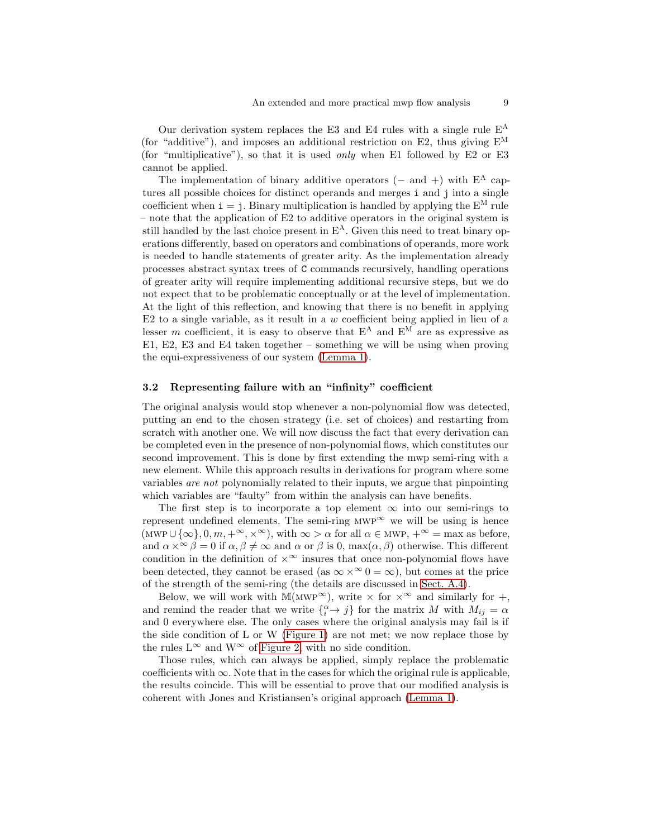Our derivation system replaces the E3 and E4 rules with a single rule  $E^A$ (for "additive"), and imposes an additional restriction on E2, thus giving  $E^M$ (for "multiplicative"), so that it is used *only* when E1 followed by E2 or E3 cannot be applied.

The implementation of binary additive operators (– and +) with  $E^A$  captures all possible choices for distinct operands and merges i and j into a single coefficient when  $i = j$ . Binary multiplication is handled by applying the  $E^M$  rule – note that the application of E2 to additive operators in the original system is still handled by the last choice present in  $E^A$ . Given this need to treat binary operations differently, based on operators and combinations of operands, more work is needed to handle statements of greater arity. As the implementation already processes abstract syntax trees of C commands recursively, handling operations of greater arity will require implementing additional recursive steps, but we do not expect that to be problematic conceptually or at the level of implementation. At the light of this reflection, and knowing that there is no benefit in applying E2 to a single variable, as it result in a  $w$  coefficient being applied in lieu of a lesser m coefficient, it is easy to observe that  $E^A$  and  $E^M$  are as expressive as E1, E2, E3 and E4 taken together – something we will be using when proving the equi-expressiveness of our system [\(Lemma 1\)](#page-10-1).

#### 3.2 Representing failure with an "infinity" coefficient

The original analysis would stop whenever a non-polynomial flow was detected, putting an end to the chosen strategy (i.e. set of choices) and restarting from scratch with another one. We will now discuss the fact that every derivation can be completed even in the presence of non-polynomial flows, which constitutes our second improvement. This is done by first extending the mwp semi-ring with a new element. While this approach results in derivations for program where some variables are not polynomially related to their inputs, we argue that pinpointing which variables are "faulty" from within the analysis can have benefits.

The first step is to incorporate a top element  $\infty$  into our semi-rings to represent undefined elements. The semi-ring  $MWP^{\infty}$  we will be using is hence (MWP∪{ $\infty$ }, 0, m, +<sup>∞</sup>,  $\times^{\infty}$ ), with  $\infty > \alpha$  for all  $\alpha \in \text{MWP}$ , +<sup>∞</sup> = max as before, and  $\alpha \times \infty \beta = 0$  if  $\alpha, \beta \neq \infty$  and  $\alpha$  or  $\beta$  is 0, max $(\alpha, \beta)$  otherwise. This different condition in the definition of  $\times^{\infty}$  insures that once non-polynomial flows have been detected, they cannot be erased (as  $\infty \times \infty$  0 =  $\infty$ ), but comes at the price of the strength of the semi-ring (the details are discussed in [Sect.](#page-27-0) A.4).

Below, we will work with M(MWP<sup>∞</sup>), write  $\times$  for  $\times^{\infty}$  and similarly for  $+$ , and remind the reader that we write  $\{^{\alpha}_{i} \rightarrow j\}$  for the matrix M with  $M_{ij} = \alpha$ and 0 everywhere else. The only cases where the original analysis may fail is if the side condition of L or W [\(Figure 1\)](#page-4-0) are not met; we now replace those by the rules  $L^{\infty}$  and  $W^{\infty}$  of [Figure 2,](#page-6-1) with no side condition.

Those rules, which can always be applied, simply replace the problematic coefficients with  $\infty$ . Note that in the cases for which the original rule is applicable, the results coincide. This will be essential to prove that our modified analysis is coherent with Jones and Kristiansen's original approach [\(Lemma 1\)](#page-10-1).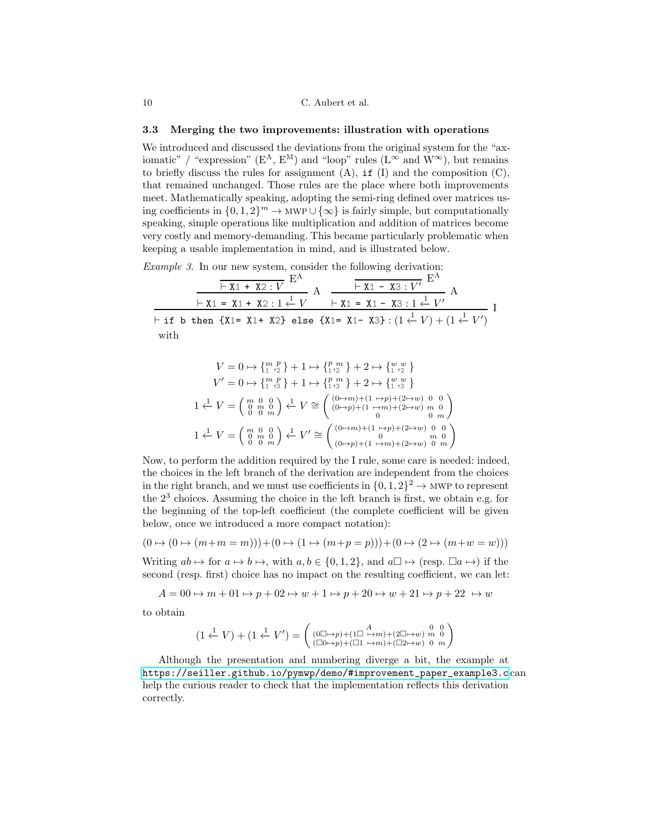#### 3.3 Merging the two improvements: illustration with operations

We introduced and discussed the deviations from the original system for the "axiomatic" / "expression" (E<sup>A</sup>, E<sup>M</sup>) and "loop" rules (L<sup>∞</sup> and W<sup>∞</sup>), but remains to briefly discuss the rules for assignment  $(A)$ , if  $(I)$  and the composition  $(C)$ , that remained unchanged. Those rules are the place where both improvements meet. Mathematically speaking, adopting the semi-ring defined over matrices using coefficients in  $\{0, 1, 2\}^m \to \text{MWP} \cup \{\infty\}$  is fairly simple, but computationally speaking, simple operations like multiplication and addition of matrices become very costly and memory-demanding. This became particularly problematic when keeping a usable implementation in mind, and is illustrated below.

Example 3. In our new system, consider the following derivation:

|      |                                                                                                                         | $\vdash$ X1 + X2 : V | $ \overline{+ x_1 - x_3 : V'}$ E |  |  |
|------|-------------------------------------------------------------------------------------------------------------------------|----------------------|----------------------------------|--|--|
|      | $\vdash$ X1 = X1 + X2 : 1 $\stackrel{1}{\leftarrow}$ V $\qquad$ $\vdash$ X1 = X1 - X3 : 1 $\stackrel{1}{\leftarrow}$ V' |                      |                                  |  |  |
|      | $\vdash$ if b then {X1= X1+ X2} else {X1= X1- X3} : $(1 \stackrel{1}{\leftarrow} V) + (1 \stackrel{1}{\leftarrow} V')$  |                      |                                  |  |  |
| with |                                                                                                                         |                      |                                  |  |  |

$$
V = 0 \mapsto \{_{1}^{m},_{2}^{p}\} + 1 \mapsto \{_{1}^{p},_{2}^{m}\} + 2 \mapsto \{_{1}^{w},_{2}^{w}\}
$$
  
\n
$$
V' = 0 \mapsto \{_{1}^{m},_{3}^{p}\} + 1 \mapsto \{_{1}^{p},_{3}^{m}\} + 2 \mapsto \{_{1}^{w},_{3}^{w}\}
$$
  
\n
$$
1 \stackrel{1}{\leftarrow} V = \begin{pmatrix} m & 0 & 0 \\ 0 & m & 0 \\ 0 & 0 & m \end{pmatrix} \stackrel{1}{\leftarrow} V \cong \begin{pmatrix} (0 \mapsto m) + (1 \mapsto p) + (2 \mapsto w) & 0 & 0 \\ (0 \mapsto p) + (1 \mapsto m) + (2 \mapsto w) & m & 0 \\ 0 & 0 & m \end{pmatrix}
$$
  
\n
$$
1 \stackrel{1}{\leftarrow} V = \begin{pmatrix} m & 0 & 0 \\ 0 & m & 0 \\ 0 & 0 & m \end{pmatrix} \stackrel{1}{\leftarrow} V' \cong \begin{pmatrix} (0 \mapsto m) + (1 \mapsto p) + (2 \mapsto w) & 0 & 0 \\ 0 & m & 0 \\ (0 \mapsto p) + (1 \mapsto m) + (2 \mapsto w) & 0 & m \end{pmatrix}
$$

Now, to perform the addition required by the I rule, some care is needed: indeed, the choices in the left branch of the derivation are independent from the choices in the right branch, and we must use coefficients in  $\{0, 1, 2\}^2 \to \text{MWP}$  to represent the 2<sup>3</sup> choices. Assuming the choice in the left branch is first, we obtain e.g. for the beginning of the top-left coefficient (the complete coefficient will be given below, once we introduced a more compact notation):

$$
(0 \mapsto (0 \mapsto (m+m=m))) + (0 \mapsto (1 \mapsto (m+p=p))) + (0 \mapsto (2 \mapsto (m+w=w)))
$$

Writing  $ab \mapsto$  for  $a \mapsto b \mapsto$ , with  $a, b \in \{0, 1, 2\}$ , and  $a \square \mapsto (\text{resp. } \square a \mapsto)$  if the second (resp. first) choice has no impact on the resulting coefficient, we can let:

$$
A = 00 \mapsto m + 01 \mapsto p + 02 \mapsto w + 1 \mapsto p + 20 \mapsto w + 21 \mapsto p + 22 \mapsto w
$$

to obtain

$$
(1 \stackrel{1}{\leftarrow} V) + (1 \stackrel{1}{\leftarrow} V') = \begin{pmatrix} (0 \boxdot \rightarrow p) + (1 \boxdot \rightarrow m) + (2 \boxdot \rightarrow w) & 0 \\ (0 \boxdot \rightarrow p) + (1 \boxdot \rightarrow m) + (2 \boxdot \rightarrow w) & m & 0 \\ (0 \boxdot \rightarrow p) + (0 \boxdot \rightarrow m) + (0 \boxdot \rightarrow w) & 0 & m \end{pmatrix}
$$

Although the presentation and numbering diverge a bit, the example at [https://seiller.github.io/pymwp/demo/#improvement\\_paper\\_example3.c](https://seiller.github.io/pymwp/demo/#improvement_paper_example3.c) can help the curious reader to check that the implementation reflects this derivation correctly.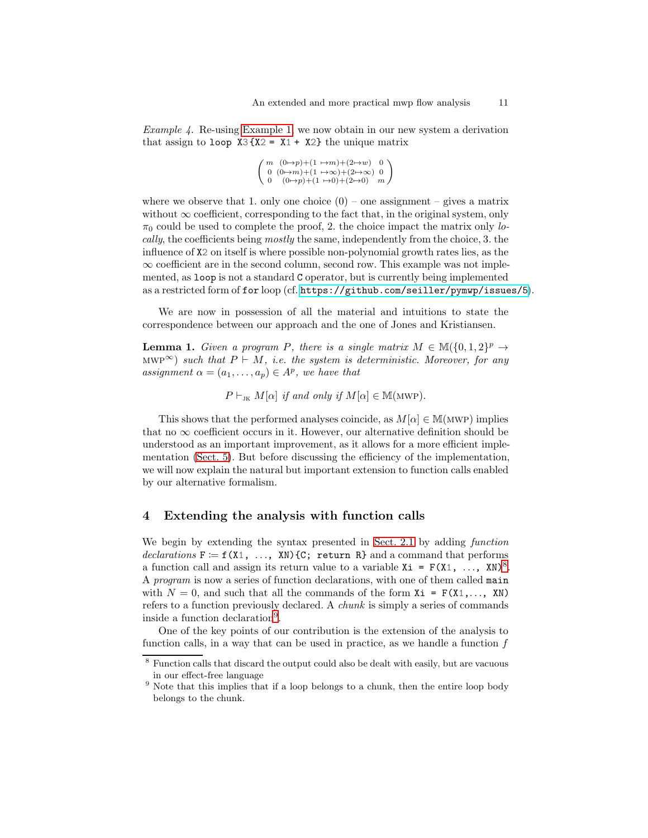Example 4. Re-using [Example 1,](#page-4-1) we now obtain in our new system a derivation that assign to loop  $X3\{X2 = X1 + X2\}$  the unique matrix

$$
\left(\begin{array}{cc}m & (0\mapsto p)+(1\;\mapsto\!m)+(2\mapsto\!w) & 0\\0 & (0\mapsto\!m)+(1\;\mapsto\!\infty)+(2\mapsto\!\infty) & 0\\0 & (0\mapsto p)+(1\;\mapsto\!0)+(2\mapsto\!0) & m\end{array}\right)
$$

where we observe that 1. only one choice  $(0)$  – one assignment – gives a matrix without  $\infty$  coefficient, corresponding to the fact that, in the original system, only  $\pi_0$  could be used to complete the proof, 2. the choice impact the matrix only locally, the coefficients being mostly the same, independently from the choice, 3. the influence of X2 on itself is where possible non-polynomial growth rates lies, as the  $\infty$  coefficient are in the second column, second row. This example was not implemented, as loop is not a standard C operator, but is currently being implemented as a restricted form of for loop (cf. <https://github.com/seiller/pymwp/issues/5>).

<span id="page-10-1"></span>We are now in possession of all the material and intuitions to state the correspondence between our approach and the one of Jones and Kristiansen.

**Lemma 1.** Given a program P, there is a single matrix  $M \in M({0, 1, 2})^p \rightarrow$ MWP<sup>∞</sup>) such that  $P \vdash M$ , i.e. the system is deterministic. Moreover, for any assignment  $\alpha = (a_1, \ldots, a_p) \in A^p$ , we have that

 $P \vdash_{\text{JK}} M[\alpha]$  if and only if  $M[\alpha] \in M(\text{MWP}).$ 

This shows that the performed analyses coincide, as  $M[\alpha] \in M(MWP)$  implies that no  $\infty$  coefficient occurs in it. However, our alternative definition should be understood as an important improvement, as it allows for a more efficient implementation [\(Sect. 5\)](#page-13-0). But before discussing the efficiency of the implementation, we will now explain the natural but important extension to function calls enabled by our alternative formalism.

# <span id="page-10-0"></span>4 Extending the analysis with function calls

We begin by extending the syntax presented in [Sect. 2.1](#page-2-0) by adding function declarations  $F := f(X1, ..., XN)$  {C; return R} and a command that performs a function call and assign its return value to a variable  $Xi = F(X1, ..., XN)^8$  $Xi = F(X1, ..., XN)^8$ . A program is now a series of function declarations, with one of them called main with  $N = 0$ , and such that all the commands of the form  $Xi = F(X1, \ldots, XN)$ refers to a function previously declared. A chunk is simply a series of commands inside a function declaration[9](#page-10-3) .

One of the key points of our contribution is the extension of the analysis to function calls, in a way that can be used in practice, as we handle a function  $f$ 

<sup>8</sup> Function calls that discard the output could also be dealt with easily, but are vacuous in our effect-free language

<span id="page-10-3"></span><span id="page-10-2"></span> $9$  Note that this implies that if a loop belongs to a chunk, then the entire loop body belongs to the chunk.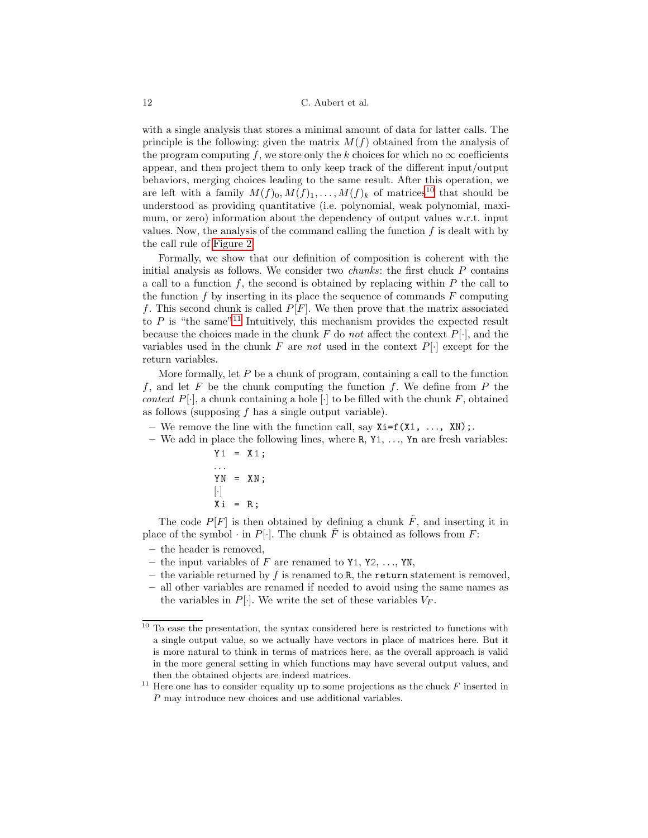with a single analysis that stores a minimal amount of data for latter calls. The principle is the following: given the matrix  $M(f)$  obtained from the analysis of the program computing f, we store only the k choices for which no  $\infty$  coefficients appear, and then project them to only keep track of the different input/output behaviors, merging choices leading to the same result. After this operation, we are left with a family  $M(f)_0, M(f)_1, \ldots, M(f)_k$  of matrices<sup>[10](#page-11-0)</sup> that should be understood as providing quantitative (i.e. polynomial, weak polynomial, maximum, or zero) information about the dependency of output values w.r.t. input values. Now, the analysis of the command calling the function  $f$  is dealt with by the call rule of [Figure 2.](#page-6-1)

Formally, we show that our definition of composition is coherent with the initial analysis as follows. We consider two *chunks*: the first chuck  $P$  contains a call to a function  $f$ , the second is obtained by replacing within  $P$  the call to the function  $f$  by inserting in its place the sequence of commands  $F$  computing f. This second chunk is called  $P[F]$ . We then prove that the matrix associated to  $P$  is "the same"<sup>[11](#page-11-1)</sup> Intuitively, this mechanism provides the expected result because the choices made in the chunk  $F$  do not affect the context  $P[\cdot]$ , and the variables used in the chunk  $F$  are not used in the context  $P[\cdot]$  except for the return variables.

More formally, let  $P$  be a chunk of program, containing a call to the function f, and let F be the chunk computing the function f. We define from  $P$  the context  $P[\cdot]$ , a chunk containing a hole  $[\cdot]$  to be filled with the chunk F, obtained as follows (supposing  $f$  has a single output variable).

- We remove the line with the function call, say  $Xi=f(X1, \ldots, XN)$ ;
- We add in place the following lines, where  $R, Y_1, \ldots, Y_n$  are fresh variables:

$$
Y1 = X1 ;
$$
  
\n
$$
YN = XN ;
$$
  
\n
$$
\begin{bmatrix} \cdot \\ \cdot \end{bmatrix}
$$
  
\n
$$
Xi = R ;
$$

The code  $P[F]$  is then obtained by defining a chunk  $\tilde{F}$ , and inserting it in place of the symbol  $\cdot$  in P[ $\cdot$ ]. The chunk  $\tilde{F}$  is obtained as follows from F:

- the header is removed,
- the input variables of F are renamed to  $Y_1, Y_2, \ldots, Y_N$ ,
- the variable returned by f is renamed to R, the return statement is removed,
- all other variables are renamed if needed to avoid using the same names as the variables in  $P[\cdot]$ . We write the set of these variables  $V_F$ .

<span id="page-11-0"></span> $10$  To ease the presentation, the syntax considered here is restricted to functions with a single output value, so we actually have vectors in place of matrices here. But it is more natural to think in terms of matrices here, as the overall approach is valid in the more general setting in which functions may have several output values, and then the obtained objects are indeed matrices.

<span id="page-11-1"></span> $^{11}$  Here one has to consider equality up to some projections as the chuck  ${\cal F}$  inserted in P may introduce new choices and use additional variables.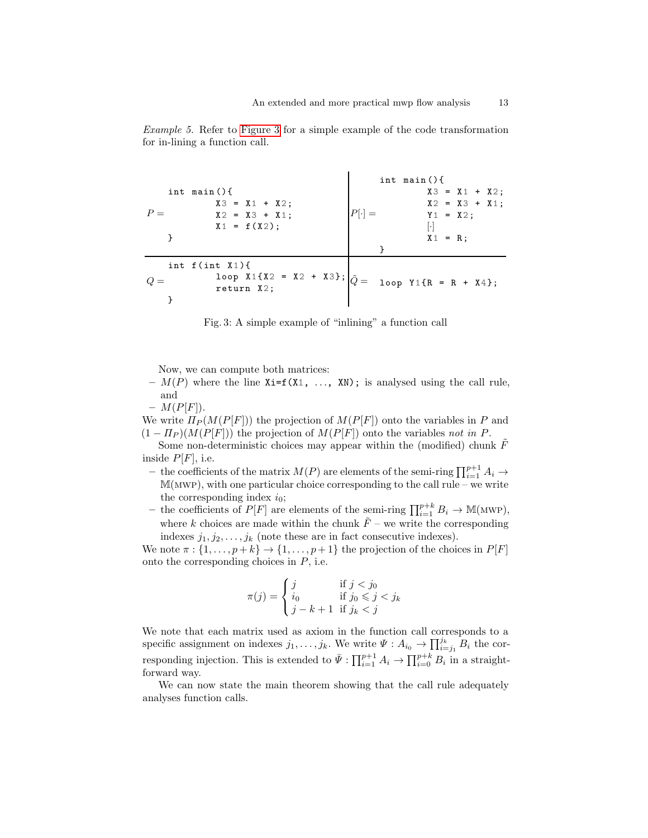<span id="page-12-0"></span>

Example 5. Refer to [Figure 3](#page-12-0) for a simple example of the code transformation for in-lining a function call.

Fig. 3: A simple example of "inlining" a function call

Now, we can compute both matrices:

 $- M(P)$  where the line  $Xi=f(X1, \ldots, XN)$ ; is analysed using the call rule, and

 $- M(P[F]).$ 

We write  $\Pi_P(M(P[F]))$  the projection of  $M(P[F])$  onto the variables in P and  $(1 - \Pi_P)(M(P[F]))$  the projection of  $M(P[F])$  onto the variables not in P.

Some non-deterministic choices may appear within the (modified) chunk  $\tilde{F}$ inside  $P[F]$ , i.e.

- − the coefficients of the matrix  $M(P)$  are elements of the semi-ring  $\prod_{i=1}^{p+1} A_i \rightarrow$  $M(MWP)$ , with one particular choice corresponding to the call rule – we write the corresponding index  $i_0$ ;
- the coefficients of  $P[F]$  are elements of the semi-ring  $\prod_{i=1}^{p+k} B_i \to \mathbb{M}(\text{MWP})$ , where k choices are made within the chunk  $\tilde{F}$  – we write the corresponding indexes  $j_1, j_2, \ldots, j_k$  (note these are in fact consecutive indexes).

We note  $\pi : \{1, \ldots, p+k\} \to \{1, \ldots, p+1\}$  the projection of the choices in  $P[F]$ onto the corresponding choices in  $P$ , i.e.

$$
\pi(j) = \begin{cases} j & \text{if } j < j_0 \\ i_0 & \text{if } j_0 \leqslant j < j_k \\ j - k + 1 & \text{if } j_k < j \end{cases}
$$

We note that each matrix used as axiom in the function call corresponds to a specific assignment on indexes  $j_1, \ldots, j_k$ . We write  $\Psi : A_{i_0} \to \prod_{i=j_1}^{j_k} B_i$  the corresponding injection. This is extended to  $\bar{\Psi}$  :  $\prod_{i=1}^{p+1} A_i \to \prod_{i=0}^{p+k} B_i$  in a straightforward way.

We can now state the main theorem showing that the call rule adequately analyses function calls.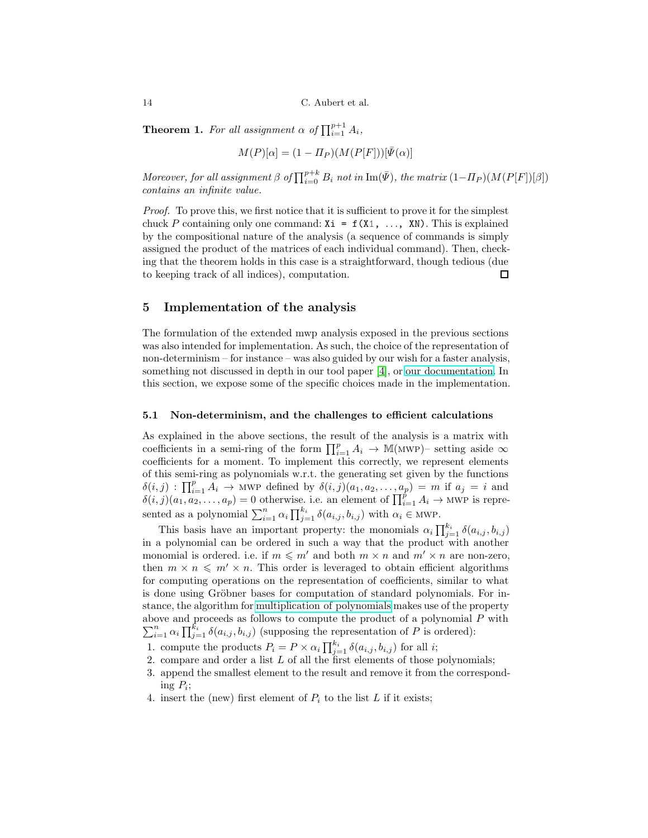**Theorem 1.** For all assignment  $\alpha$  of  $\prod_{i=1}^{p+1} A_i$ ,

$$
M(P)[\alpha] = (1 - \Pi_P)(M(P[F]))[\bar{\Psi}(\alpha)]
$$

Moreover, for all assignment  $\beta$  of  $\prod_{i=0}^{p+k} B_i$  not in  $\text{Im}(\bar{\Psi})$ , the matrix  $(1-\Pi_P)(M(P[F])[\beta])$ contains an infinite value.

Proof. To prove this, we first notice that it is sufficient to prove it for the simplest chuck P containing only one command:  $Xi = f(X1, ..., XN)$ . This is explained by the compositional nature of the analysis (a sequence of commands is simply assigned the product of the matrices of each individual command). Then, checking that the theorem holds in this case is a straightforward, though tedious (due to keeping track of all indices), computation.  $\Box$ 

# <span id="page-13-0"></span>5 Implementation of the analysis

The formulation of the extended mwp analysis exposed in the previous sections was also intended for implementation. As such, the choice of the representation of non-determinism – for instance – was also guided by our wish for a faster analysis, something not discussed in depth in our tool paper [\[4\]](#page-15-0), or [our documentation.](https://seiller.github.io/pymwp/) In this section, we expose some of the specific choices made in the implementation.

#### 5.1 Non-determinism, and the challenges to efficient calculations

As explained in the above sections, the result of the analysis is a matrix with coefficients in a semi-ring of the form  $\prod_{i=1}^p A_i \to \mathbb{M}(\text{MWP})$ - setting aside  $\infty$ coefficients for a moment. To implement this correctly, we represent elements of this semi-ring as polynomials w.r.t. the generating set given by the functions  $\delta(i,j)$ :  $\prod_{i=1}^p A_i \rightarrow$  MWP defined by  $\delta(i,j)(a_1, a_2, \ldots, a_p) = m$  if  $a_j = i$  and  $\delta(i,j)(a_1, a_2, \ldots, a_p) = 0$  otherwise. i.e. an element of  $\prod_{i=1}^p A_i \to \text{MWP}$  is represented as a polynomial  $\sum_{i=1}^{n} \alpha_i \prod_{j=1}^{k_i} \delta(a_{i,j}, b_{i,j})$  with  $\alpha_i \in \text{MWP}$ .

This basis have an important property: the monomials  $\alpha_i \prod_{j=1}^{k_i} \delta(a_{i,j}, b_{i,j})$ in a polynomial can be ordered in such a way that the product with another monomial is ordered. i.e. if  $m \leq m'$  and both  $m \times n$  and  $m' \times n$  are non-zero. then  $m \times n \leq m' \times n$ . This order is leveraged to obtain efficient algorithms for computing operations on the representation of coefficients, similar to what is done using Gröbner bases for computation of standard polynomials. For instance, the algorithm for [multiplication of polynomials](https://github.com/seiller/pymwp/blob/746da71a5490c5f21ebc5643ea20822f78876959/pymwp/polynomial.py#L199) makes use of the property above and proceeds as follows to compute the product of a polynomial  $P$  with  $\sum_{i=1}^n \alpha_i \prod_{j=1}^{\bar{k}_i} \delta(a_{i,j}, b_{i,j})$  (supposing the representation of P is ordered):

- 1. compute the products  $P_i = P \times \alpha_i \prod_{j=1}^{k_i} \delta(a_{i,j}, b_{i,j})$  for all i;
- <span id="page-13-1"></span>2. compare and order a list  $L$  of all the first elements of those polynomials;
- 3. append the smallest element to the result and remove it from the correspond- $\text{ing } P_i;$
- 4. insert the (new) first element of  $P_i$  to the list L if it exists;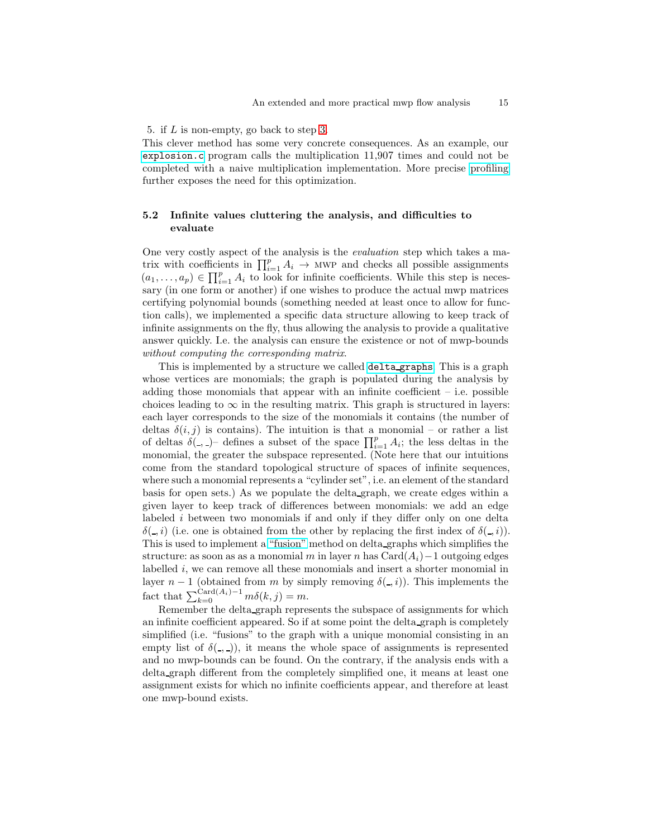#### 5. if L is non-empty, go back to step [3.](#page-13-1)

This clever method has some very concrete consequences. As an example, our [explosion.c](https://seiller.github.io/pymwp/demo/#other_explosion.c) program calls the multiplication 11,907 times and could not be completed with a naive multiplication implementation. More precise [profiling](https://seiller.github.io/pymwp/utilities/) further exposes the need for this optimization.

# 5.2 Infinite values cluttering the analysis, and difficulties to evaluate

One very costly aspect of the analysis is the evaluation step which takes a matrix with coefficients in  $\prod_{i=1}^{p} A_i \rightarrow$  MWP and checks all possible assignments  $(a_1, \ldots, a_p) \in \prod_{i=1}^p A_i$  to look for infinite coefficients. While this step is necessary (in one form or another) if one wishes to produce the actual mwp matrices certifying polynomial bounds (something needed at least once to allow for function calls), we implemented a specific data structure allowing to keep track of infinite assignments on the fly, thus allowing the analysis to provide a qualitative answer quickly. I.e. the analysis can ensure the existence or not of mwp-bounds without computing the corresponding matrix.

This is implemented by a structure we called delta [graphs](https://github.com/seiller/pymwp/blob/946a5b44692325095392694950ed03807f059b52/pymwp/delta_graphs.py). This is a graph whose vertices are monomials; the graph is populated during the analysis by adding those monomials that appear with an infinite coefficient – i.e. possible choices leading to  $\infty$  in the resulting matrix. This graph is structured in layers: each layer corresponds to the size of the monomials it contains (the number of deltas  $\delta(i, j)$  is contains). The intuition is that a monomial – or rather a list of deltas  $\delta($ ,  $)$  defines a subset of the space  $\prod_{i=1}^{p} A_i$ ; the less deltas in the monomial, the greater the subspace represented. (Note here that our intuitions come from the standard topological structure of spaces of infinite sequences, where such a monomial represents a "cylinder set", i.e. an element of the standard basis for open sets.) As we populate the delta graph, we create edges within a given layer to keep track of differences between monomials: we add an edge labeled i between two monomials if and only if they differ only on one delta  $\delta($ , i) (i.e. one is obtained from the other by replacing the first index of  $\delta($ , i)). This is used to implement a ["fusion"](https://github.com/seiller/pymwp/blob/946a5b44692325095392694950ed03807f059b52/pymwp/delta_graphs.py#L274) method on delta graphs which simplifies the structure: as soon as as a monomial m in layer n has Card $(A_i)$  – 1 outgoing edges labelled  $i$ , we can remove all these monomials and insert a shorter monomial in layer  $n-1$  (obtained from m by simply removing  $\delta(-,i)$ ). This implements the fact that  $\sum_{k=0}^{\text{Card}(A_i)-1} m\delta(k,j) = m$ .

Remember the delta graph represents the subspace of assignments for which an infinite coefficient appeared. So if at some point the delta graph is completely simplified (i.e. "fusions" to the graph with a unique monomial consisting in an empty list of  $\delta(\epsilon, \epsilon)$ , it means the whole space of assignments is represented and no mwp-bounds can be found. On the contrary, if the analysis ends with a delta graph different from the completely simplified one, it means at least one assignment exists for which no infinite coefficients appear, and therefore at least one mwp-bound exists.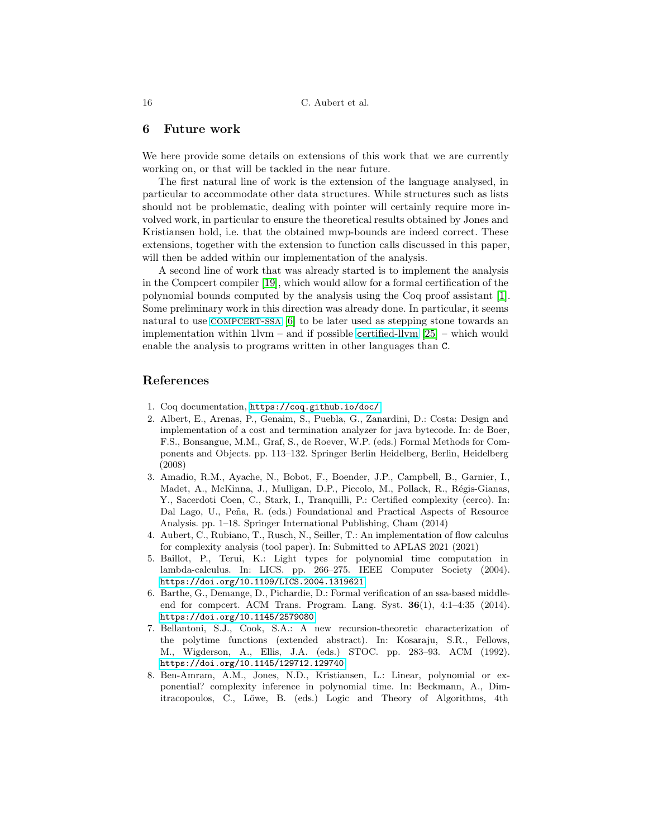# 6 Future work

We here provide some details on extensions of this work that we are currently working on, or that will be tackled in the near future.

The first natural line of work is the extension of the language analysed, in particular to accommodate other data structures. While structures such as lists should not be problematic, dealing with pointer will certainly require more involved work, in particular to ensure the theoretical results obtained by Jones and Kristiansen hold, i.e. that the obtained mwp-bounds are indeed correct. These extensions, together with the extension to function calls discussed in this paper, will then be added within our implementation of the analysis.

A second line of work that was already started is to implement the analysis in the Compcert compiler [\[19\]](#page-16-11), which would allow for a formal certification of the polynomial bounds computed by the analysis using the Coq proof assistant [\[1\]](#page-15-6). Some preliminary work in this direction was already done. In particular, it seems natural to use COMPCERT-SSA [\[6\]](#page-15-7) to be later used as stepping stone towards an implementation within  $1 \text{lvm}$  – and if possible certified-llym [\[25\]](#page-17-5) – which would enable the analysis to programs written in other languages than C.

# <span id="page-15-6"></span>References

- <span id="page-15-4"></span>1. Coq documentation, <https://coq.github.io/doc/>
- 2. Albert, E., Arenas, P., Genaim, S., Puebla, G., Zanardini, D.: Costa: Design and implementation of a cost and termination analyzer for java bytecode. In: de Boer, F.S., Bonsangue, M.M., Graf, S., de Roever, W.P. (eds.) Formal Methods for Components and Objects. pp. 113–132. Springer Berlin Heidelberg, Berlin, Heidelberg (2008)
- <span id="page-15-5"></span>3. Amadio, R.M., Ayache, N., Bobot, F., Boender, J.P., Campbell, B., Garnier, I., Madet, A., McKinna, J., Mulligan, D.P., Piccolo, M., Pollack, R., Régis-Gianas, Y., Sacerdoti Coen, C., Stark, I., Tranquilli, P.: Certified complexity (cerco). In: Dal Lago, U., Peña, R. (eds.) Foundational and Practical Aspects of Resource Analysis. pp. 1–18. Springer International Publishing, Cham (2014)
- <span id="page-15-0"></span>4. Aubert, C., Rubiano, T., Rusch, N., Seiller, T.: An implementation of flow calculus for complexity analysis (tool paper). In: Submitted to APLAS 2021 (2021)
- <span id="page-15-3"></span>5. Baillot, P., Terui, K.: Light types for polynomial time computation in lambda-calculus. In: LICS. pp. 266–275. IEEE Computer Society (2004). <https://doi.org/10.1109/LICS.2004.1319621>
- <span id="page-15-7"></span>6. Barthe, G., Demange, D., Pichardie, D.: Formal verification of an ssa-based middleend for compcert. ACM Trans. Program. Lang. Syst. 36(1), 4:1–4:35 (2014). <https://doi.org/10.1145/2579080>
- <span id="page-15-2"></span>7. Bellantoni, S.J., Cook, S.A.: A new recursion-theoretic characterization of the polytime functions (extended abstract). In: Kosaraju, S.R., Fellows, M., Wigderson, A., Ellis, J.A. (eds.) STOC. pp. 283–93. ACM (1992). <https://doi.org/10.1145/129712.129740>
- <span id="page-15-1"></span>8. Ben-Amram, A.M., Jones, N.D., Kristiansen, L.: Linear, polynomial or exponential? complexity inference in polynomial time. In: Beckmann, A., Dimitracopoulos, C., Löwe, B. (eds.) Logic and Theory of Algorithms, 4th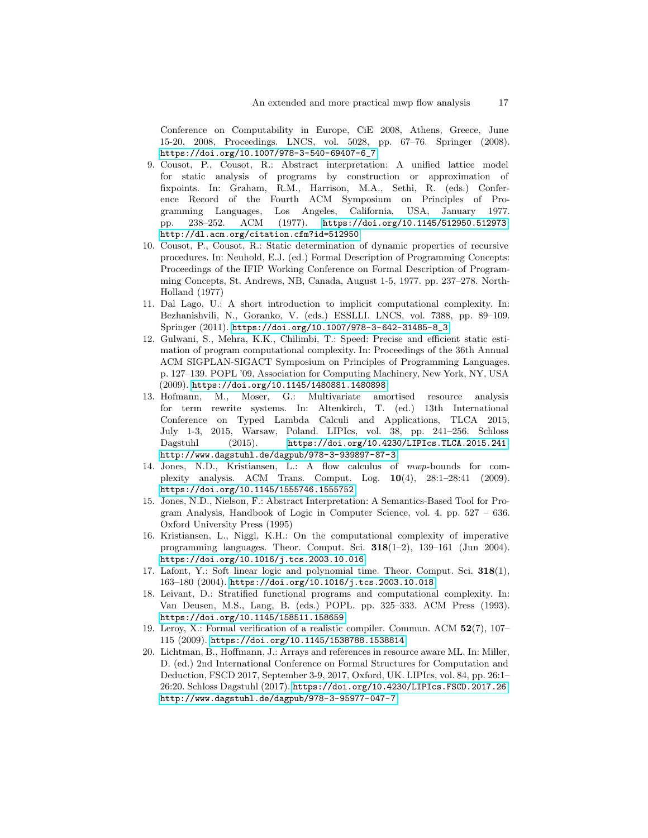Conference on Computability in Europe, CiE 2008, Athens, Greece, June 15-20, 2008, Proceedings. LNCS, vol. 5028, pp. 67–76. Springer (2008). [https://doi.org/10.1007/978-3-540-69407-6\\_7](https://doi.org/10.1007/978-3-540-69407-6_7)

- <span id="page-16-1"></span>9. Cousot, P., Cousot, R.: Abstract interpretation: A unified lattice model for static analysis of programs by construction or approximation of fixpoints. In: Graham, R.M., Harrison, M.A., Sethi, R. (eds.) Conference Record of the Fourth ACM Symposium on Principles of Programming Languages, Los Angeles, California, USA, January 1977. pp. 238–252. ACM (1977). <https://doi.org/10.1145/512950.512973>, <http://dl.acm.org/citation.cfm?id=512950>
- <span id="page-16-2"></span>10. Cousot, P., Cousot, R.: Static determination of dynamic properties of recursive procedures. In: Neuhold, E.J. (ed.) Formal Description of Programming Concepts: Proceedings of the IFIP Working Conference on Formal Description of Programming Concepts, St. Andrews, NB, Canada, August 1-5, 1977. pp. 237–278. North-Holland (1977)
- <span id="page-16-0"></span>11. Dal Lago, U.: A short introduction to implicit computational complexity. In: Bezhanishvili, N., Goranko, V. (eds.) ESSLLI. LNCS, vol. 7388, pp. 89–109. Springer (2011). [https://doi.org/10.1007/978-3-642-31485-8\\_3](https://doi.org/10.1007/978-3-642-31485-8_3)
- <span id="page-16-9"></span>12. Gulwani, S., Mehra, K.K., Chilimbi, T.: Speed: Precise and efficient static estimation of program computational complexity. In: Proceedings of the 36th Annual ACM SIGPLAN-SIGACT Symposium on Principles of Programming Languages. p. 127–139. POPL '09, Association for Computing Machinery, New York, NY, USA (2009). <https://doi.org/10.1145/1480881.1480898>
- <span id="page-16-7"></span>13. Hofmann, M., Moser, G.: Multivariate amortised resource analysis for term rewrite systems. In: Altenkirch, T. (ed.) 13th International Conference on Typed Lambda Calculi and Applications, TLCA 2015, July 1-3, 2015, Warsaw, Poland. LIPIcs, vol. 38, pp. 241–256. Schloss Dagstuhl (2015). <https://doi.org/10.4230/LIPIcs.TLCA.2015.241>, <http://www.dagstuhl.de/dagpub/978-3-939897-87-3>
- <span id="page-16-4"></span>14. Jones, N.D., Kristiansen, L.: A flow calculus of mwp-bounds for complexity analysis. ACM Trans. Comput. Log. 10(4), 28:1–28:41 (2009). <https://doi.org/10.1145/1555746.1555752>
- <span id="page-16-3"></span>15. Jones, N.D., Nielson, F.: Abstract Interpretation: A Semantics-Based Tool for Program Analysis, Handbook of Logic in Computer Science, vol. 4, pp. 527 – 636. Oxford University Press (1995)
- <span id="page-16-8"></span>16. Kristiansen, L., Niggl, K.H.: On the computational complexity of imperative programming languages. Theor. Comput. Sci.  $318(1-2)$ ,  $139-161$  (Jun 2004). <https://doi.org/10.1016/j.tcs.2003.10.016>
- <span id="page-16-6"></span>17. Lafont, Y.: Soft linear logic and polynomial time. Theor. Comput. Sci. 318(1), 163–180 (2004). <https://doi.org/10.1016/j.tcs.2003.10.018>
- <span id="page-16-5"></span>18. Leivant, D.: Stratified functional programs and computational complexity. In: Van Deusen, M.S., Lang, B. (eds.) POPL. pp. 325–333. ACM Press (1993). <https://doi.org/10.1145/158511.158659>
- <span id="page-16-11"></span>19. Leroy, X.: Formal verification of a realistic compiler. Commun. ACM 52(7), 107– 115 (2009). <https://doi.org/10.1145/1538788.1538814>
- <span id="page-16-10"></span>20. Lichtman, B., Hoffmann, J.: Arrays and references in resource aware ML. In: Miller, D. (ed.) 2nd International Conference on Formal Structures for Computation and Deduction, FSCD 2017, September 3-9, 2017, Oxford, UK. LIPIcs, vol. 84, pp. 26:1– 26:20. Schloss Dagstuhl (2017). <https://doi.org/10.4230/LIPIcs.FSCD.2017.26>, <http://www.dagstuhl.de/dagpub/978-3-95977-047-7>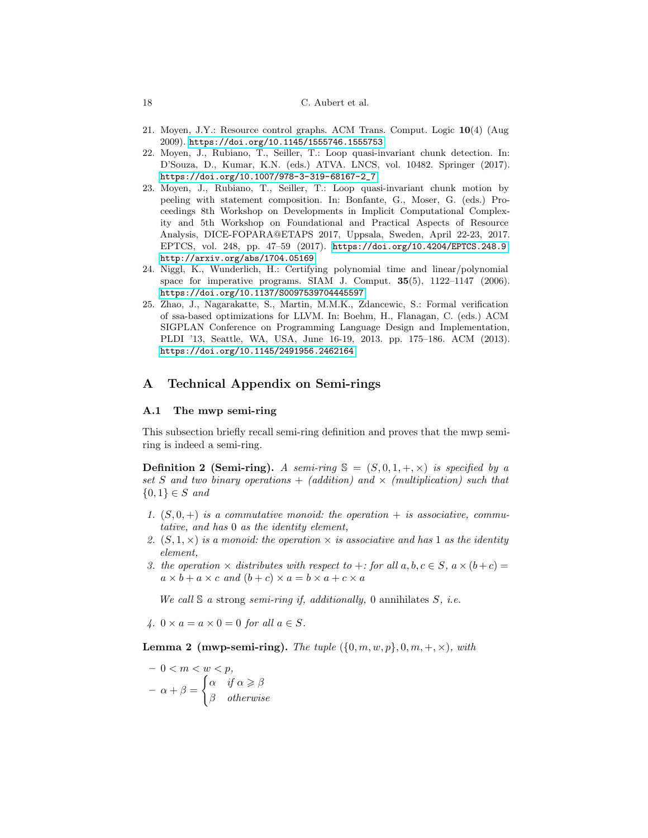### 18 C. Aubert et al.

- <span id="page-17-3"></span><span id="page-17-0"></span>21. Moyen, J.Y.: Resource control graphs. ACM Trans. Comput. Logic 10(4) (Aug 2009). <https://doi.org/10.1145/1555746.1555753>
- 22. Moyen, J., Rubiano, T., Seiller, T.: Loop quasi-invariant chunk detection. In: D'Souza, D., Kumar, K.N. (eds.) ATVA. LNCS, vol. 10482. Springer (2017). [https://doi.org/10.1007/978-3-319-68167-2\\_7](https://doi.org/10.1007/978-3-319-68167-2_7)
- <span id="page-17-1"></span>23. Moyen, J., Rubiano, T., Seiller, T.: Loop quasi-invariant chunk motion by peeling with statement composition. In: Bonfante, G., Moser, G. (eds.) Proceedings 8th Workshop on Developments in Implicit Computational Complexity and 5th Workshop on Foundational and Practical Aspects of Resource Analysis, DICE-FOPARA@ETAPS 2017, Uppsala, Sweden, April 22-23, 2017. EPTCS, vol. 248, pp. 47–59 (2017). <https://doi.org/10.4204/EPTCS.248.9>, <http://arxiv.org/abs/1704.05169>
- <span id="page-17-2"></span>24. Niggl, K., Wunderlich, H.: Certifying polynomial time and linear/polynomial space for imperative programs. SIAM J. Comput.  $35(5)$ ,  $1122-1147$  (2006). <https://doi.org/10.1137/S0097539704445597>
- <span id="page-17-5"></span>25. Zhao, J., Nagarakatte, S., Martin, M.M.K., Zdancewic, S.: Formal verification of ssa-based optimizations for LLVM. In: Boehm, H., Flanagan, C. (eds.) ACM SIGPLAN Conference on Programming Language Design and Implementation, PLDI '13, Seattle, WA, USA, June 16-19, 2013. pp. 175–186. ACM (2013). <https://doi.org/10.1145/2491956.2462164>

# A Technical Appendix on Semi-rings

## <span id="page-17-4"></span>A.1 The mwp semi-ring

<span id="page-17-6"></span>This subsection briefly recall semi-ring definition and proves that the mwp semiring is indeed a semi-ring.

**Definition 2 (Semi-ring).** A semi-ring  $\mathbb{S} = (S, 0, 1, +, \times)$  is specified by a set S and two binary operations  $+$  (addition) and  $\times$  (multiplication) such that  $\{0,1\} \in S$  and

- 1.  $(S, 0, +)$  is a commutative monoid: the operation  $+$  is associative, commutative, and has 0 as the identity element,
- 2.  $(S, 1, \times)$  is a monoid: the operation  $\times$  is associative and has 1 as the identity element,
- 3. the operation  $\times$  distributes with respect to  $+:$  for all  $a, b, c \in S$ ,  $a \times (b+c) =$  $a \times b + a \times c$  and  $(b + c) \times a = b \times a + c \times a$

We call  $S$  a strong semi-ring if, additionally, 0 annihilates  $S$ , i.e.

4.  $0 \times a = a \times 0 = 0$  for all  $a \in S$ .

**Lemma 2 (mwp-semi-ring).** The tuple  $(\{0, m, w, p\}, 0, m, +, \times)$ , with

$$
-0 < m < w < p,
$$
\n
$$
-\alpha + \beta = \begin{cases} \alpha & \text{if } \alpha \geqslant \beta \\ \beta & \text{otherwise} \end{cases}
$$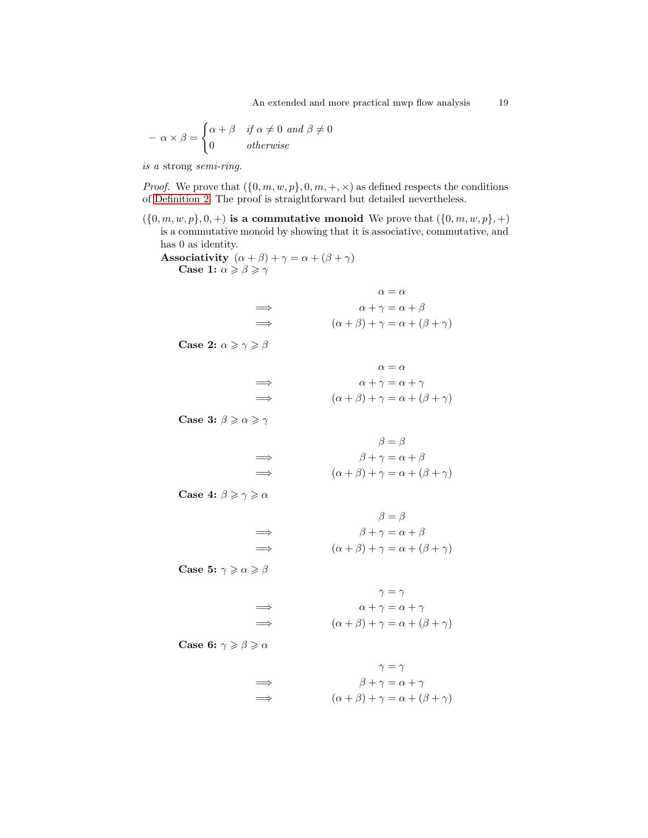$$
- \alpha \times \beta = \begin{cases} \alpha + \beta & \text{if } \alpha \neq 0 \text{ and } \beta \neq 0 \\ 0 & \text{otherwise} \end{cases}
$$

is a strong semi-ring.

*Proof.* We prove that  $({0, m, w, p}, 0, m, +, \times)$  as defined respects the conditions of [Definition 2.](#page-17-6) The proof is straightforward but detailed nevertheless.

 $({0, m, w, p}, 0, +)$  is a commutative monoid We prove that  $({0, m, w, p}, +)$ is a commutative monoid by showing that it is associative, commutative, and has 0 as identity.

 $\implies$   $\alpha + \gamma = \alpha + \beta$ 

Associativity  $(\alpha + \beta) + \gamma = \alpha + (\beta + \gamma)$ Case 1:  $\alpha \geqslant \beta \geqslant \gamma$ 

- Case 2:  $\alpha \geqslant \gamma \geqslant \beta$ 
	- $\alpha=\alpha$  $\alpha + \gamma = \alpha + \gamma$  $\implies$   $(\alpha + \beta) + \gamma = \alpha + (\beta + \gamma)$

 $\alpha=\alpha$ 

 $(\alpha + \beta) + \gamma = \alpha + (\beta + \gamma)$ 

Case 3:  $\beta \ge \alpha \ge \gamma$ 

 $\beta = \beta$  $\implies$   $\beta + \gamma = \alpha + \beta$  $\implies$   $(\alpha + \beta) + \gamma = \alpha + (\beta + \gamma)$ 

Case 4:  $\beta \geqslant \gamma \geqslant \alpha$ 

$$
\beta = \beta
$$
  
\n
$$
\implies \qquad \beta + \gamma = \alpha + \beta
$$
  
\n
$$
\implies (\alpha + \beta) + \gamma = \alpha + (\beta + \gamma)
$$

Case 5:  $\gamma \geqslant \alpha \geqslant \beta$ 

$$
\gamma = \gamma
$$
  
\n
$$
\Rightarrow \qquad \alpha + \gamma = \alpha + \gamma
$$
  
\n
$$
\Rightarrow \qquad (\alpha + \beta) + \gamma = \alpha + (\beta + \gamma)
$$

Case 6:  $\gamma \geqslant \beta \geqslant \alpha$ 

$$
\gamma = \gamma
$$
  
\n
$$
\implies \qquad \beta + \gamma = \alpha + \gamma
$$
  
\n
$$
\implies (\alpha + \beta) + \gamma = \alpha + (\beta + \gamma)
$$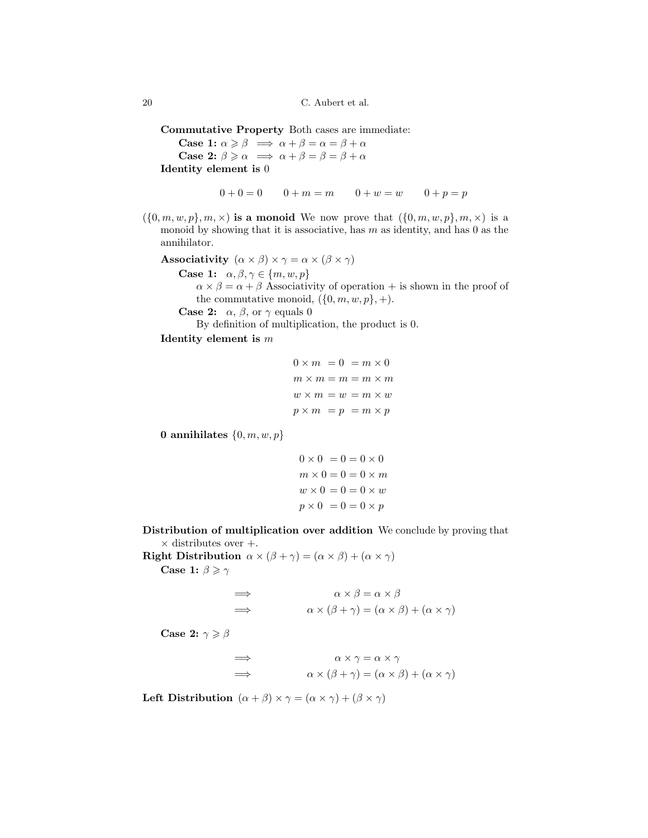20 C. Aubert et al.

Commutative Property Both cases are immediate:

Case 1:  $\alpha \ge \beta \implies \alpha + \beta = \alpha = \beta + \alpha$ Case 2:  $\beta \ge \alpha \implies \alpha + \beta = \beta = \beta + \alpha$ Identity element is 0

 $0 + 0 = 0$   $0 + m = m$   $0 + w = w$   $0 + p = p$ 

 $(\{0,m,w,p\},m,\times)$  is a monoid We now prove that  $(\{0,m,w,p\},m,\times)$  is a monoid by showing that it is associative, has  $m$  as identity, and has 0 as the annihilator.

Associativity  $(\alpha \times \beta) \times \gamma = \alpha \times (\beta \times \gamma)$ 

Case 1:  $\alpha, \beta, \gamma \in \{m, w, p\}$ 

 $\alpha \times \beta = \alpha + \beta$  Associativity of operation + is shown in the proof of the commutative monoid,  $({0, m, w, p}, +)$ .

**Case 2:**  $\alpha$ ,  $\beta$ , or  $\gamma$  equals 0

By definition of multiplication, the product is 0.

Identity element is m

```
0 \times m = 0 = m \times 0m \times m = m = m \times mw \times m = w = m \times wp \times m = p = m \times p
```
0 annihilates  $\{0, m, w, p\}$ 

$$
0 \times 0 = 0 = 0 \times 0
$$
  

$$
m \times 0 = 0 = 0 \times m
$$
  

$$
w \times 0 = 0 = 0 \times w
$$
  

$$
p \times 0 = 0 = 0 \times p
$$

Distribution of multiplication over addition We conclude by proving that  $\times$  distributes over  $+$ .

Right Distribution  $\alpha \times (\beta + \gamma) = (\alpha \times \beta) + (\alpha \times \gamma)$ Case 1:  $\beta \geqslant \gamma$ 

$$
\Rightarrow \qquad \alpha \times \beta = \alpha \times \beta
$$
  

$$
\Rightarrow \qquad \alpha \times (\beta + \gamma) = (\alpha \times \beta) + (\alpha \times \gamma)
$$

Case 2:  $\gamma \geqslant \beta$ 

 $\implies \qquad \qquad \alpha \times \gamma = \alpha \times \gamma$  $\Rightarrow \qquad \alpha \times (\beta + \gamma) = (\alpha \times \beta) + (\alpha \times \gamma)$ 

Left Distribution  $(\alpha + \beta) \times \gamma = (\alpha \times \gamma) + (\beta \times \gamma)$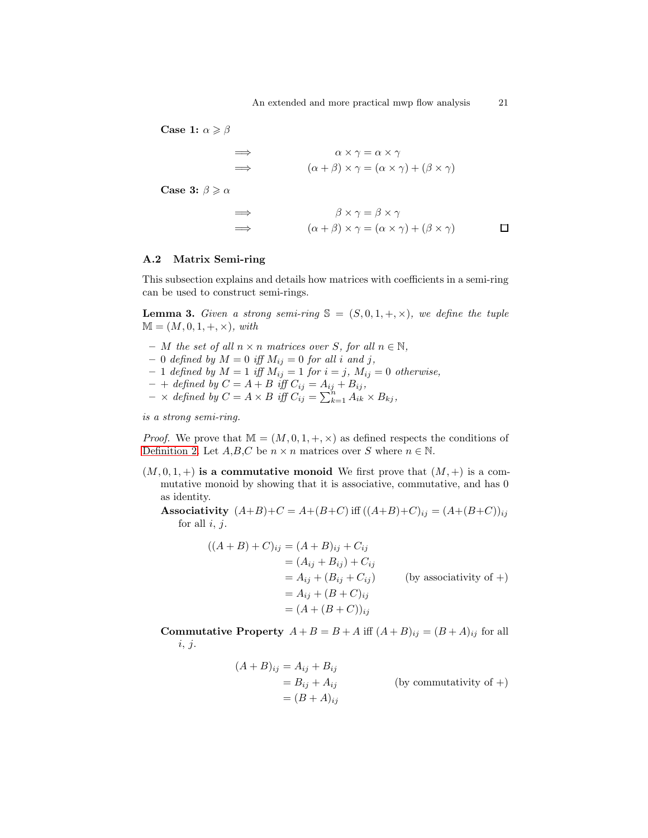Case 1:  $\alpha \geqslant \beta$ 

$$
\Rightarrow \qquad \alpha \times \gamma = \alpha \times \gamma
$$
  
\n
$$
\Rightarrow \qquad (\alpha + \beta) \times \gamma = (\alpha \times \gamma) + (\beta \times \gamma)
$$

Case 3:  $\beta \geqslant \alpha$ 

$$
\Rightarrow \qquad \beta \times \gamma = \beta \times \gamma
$$
  
\n
$$
\Rightarrow \qquad (\alpha + \beta) \times \gamma = (\alpha \times \gamma) + (\beta \times \gamma)
$$

#### <span id="page-20-0"></span>A.2 Matrix Semi-ring

<span id="page-20-1"></span>This subsection explains and details how matrices with coefficients in a semi-ring can be used to construct semi-rings.

**Lemma 3.** Given a strong semi-ring  $\mathbb{S} = (S, 0, 1, +, \times)$ , we define the tuple  $\mathbb{M} = (M, 0, 1, +, \times), \text{ with}$ 

- M the set of all  $n \times n$  matrices over S, for all  $n \in \mathbb{N}$ ,
- 0 defined by  $M = 0$  iff  $M_{ij} = 0$  for all i and j,
- $-1$  defined by  $M = 1$  iff  $M_{ij} = 1$  for  $i = j$ ,  $M_{ij} = 0$  otherwise,
- $+$  defined by  $C = A + B$  iff  $C_{ij} = A_{ij} + B_{ij}$ ,
- $\times$  defined by  $C = A \times B$  iff  $C_{ij} = \sum_{k=1}^{n} A_{ik} \times B_{kj}$ ,

is a strong semi-ring.

*Proof.* We prove that  $M = (M, 0, 1, +, \times)$  as defined respects the conditions of [Definition 2.](#page-17-6) Let  $A, B, C$  be  $n \times n$  matrices over S where  $n \in \mathbb{N}$ .

 $(M, 0, 1, +)$  is a commutative monoid We first prove that  $(M, +)$  is a commutative monoid by showing that it is associative, commutative, and has 0 as identity.

Associativity  $(A+B)+C = A+(B+C)$  iff  $((A+B)+C)_{ij} = (A+(B+C))_{ij}$ for all  $i, j$ .

$$
((A + B) + C)_{ij} = (A + B)_{ij} + C_{ij}
$$
  
\n
$$
= (A_{ij} + B_{ij}) + C_{ij}
$$
  
\n
$$
= A_{ij} + (B_{ij} + C_{ij})
$$
 (by associativity of +)  
\n
$$
= A_{ij} + (B + C)_{ij}
$$
  
\n
$$
= (A + (B + C))_{ij}
$$

Commutative Property  $A + B = B + A$  iff  $(A + B)_{ij} = (B + A)_{ij}$  for all i, j.

$$
(A + B)_{ij} = A_{ij} + B_{ij}
$$
  
=  $B_{ij} + A_{ij}$  (by commutativity of +)  
=  $(B + A)_{ij}$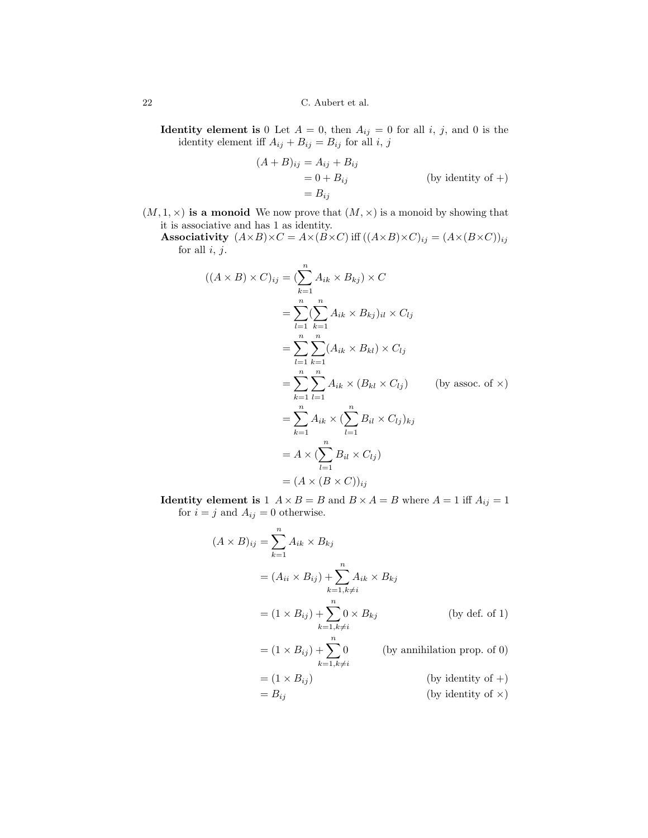**Identity element is** 0 Let  $A = 0$ , then  $A_{ij} = 0$  for all i, j, and 0 is the identity element iff  $A_{ij} + B_{ij} = B_{ij}$  for all *i*, *j* 

$$
(A + B)_{ij} = A_{ij} + B_{ij}
$$
  
= 0 + B<sub>ij</sub> (by identity of +)  
= B<sub>ij</sub>

 $(M, 1, \times)$  is a monoid We now prove that  $(M, \times)$  is a monoid by showing that it is associative and has 1 as identity.

Associativity  $(A \times B) \times C = A \times (B \times C)$  iff  $((A \times B) \times C)_{ij} = (A \times (B \times C))_{ij}$ for all  $i, j$ .

$$
((A \times B) \times C)_{ij} = \left(\sum_{k=1}^{n} A_{ik} \times B_{kj}\right) \times C
$$
  
\n
$$
= \sum_{l=1}^{n} \left(\sum_{k=1}^{n} A_{ik} \times B_{kj}\right)_{il} \times C_{lj}
$$
  
\n
$$
= \sum_{l=1}^{n} \sum_{k=1}^{n} (A_{ik} \times B_{kl}) \times C_{lj}
$$
  
\n
$$
= \sum_{k=1}^{n} \sum_{l=1}^{n} A_{ik} \times (B_{kl} \times C_{lj}) \qquad \text{(by assoc. of } \times \text{)}
$$
  
\n
$$
= \sum_{k=1}^{n} A_{ik} \times \left(\sum_{l=1}^{n} B_{il} \times C_{lj}\right)_{kj}
$$
  
\n
$$
= A \times \left(\sum_{l=1}^{n} B_{il} \times C_{lj}\right)
$$
  
\n
$$
= (A \times (B \times C))_{ij}
$$

**Identity element is**  $1 \, A \times B = B$  and  $B \times A = B$  where  $A = 1$  iff  $A_{ij} = 1$ for  $i = j$  and  $A_{ij} = 0$  otherwise.

$$
(A \times B)_{ij} = \sum_{k=1}^{n} A_{ik} \times B_{kj}
$$
  
\n
$$
= (A_{ii} \times B_{ij}) + \sum_{k=1, k \neq i}^{n} A_{ik} \times B_{kj}
$$
  
\n
$$
= (1 \times B_{ij}) + \sum_{k=1, k \neq i}^{n} 0 \times B_{kj}
$$
 (by def. of 1)  
\n
$$
= (1 \times B_{ij}) + \sum_{k=1, k \neq i}^{n} 0
$$
 (by annihilation prop. of 0)  
\n
$$
= (1 \times B_{ij})
$$
 (by identity of +)  
\n
$$
= B_{ij}
$$
 (by identity of x)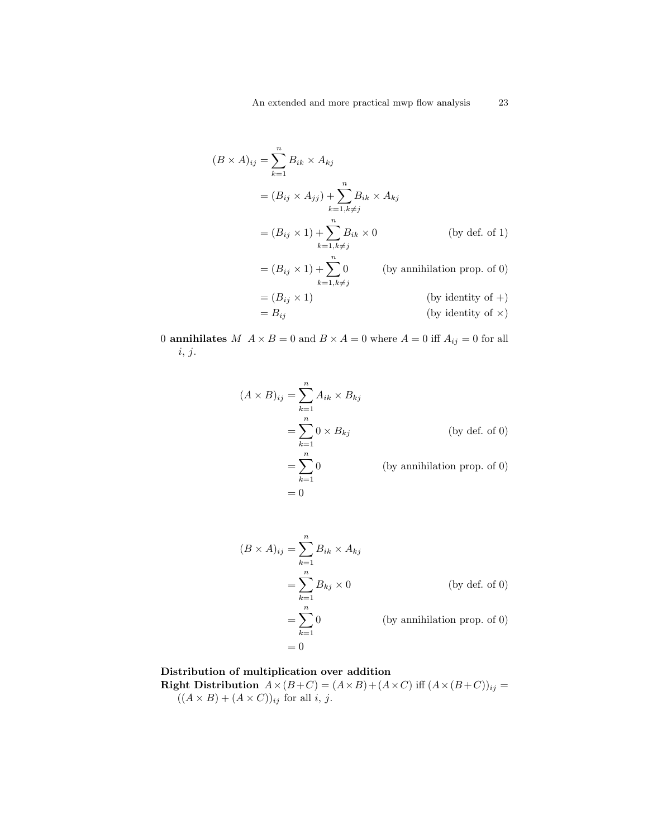$$
(B \times A)_{ij} = \sum_{k=1}^{n} B_{ik} \times A_{kj}
$$
  
\n
$$
= (B_{ij} \times A_{jj}) + \sum_{k=1, k \neq j}^{n} B_{ik} \times A_{kj}
$$
  
\n
$$
= (B_{ij} \times 1) + \sum_{k=1, k \neq j}^{n} B_{ik} \times 0
$$
 (by def. of 1)  
\n
$$
= (B_{ij} \times 1) + \sum_{k=1, k \neq j}^{n} 0
$$
 (by annihilation prop. of 0)  
\n
$$
= (B_{ij} \times 1)
$$
 (by identity of +)  
\n
$$
= B_{ij}
$$
 (by identity of ×)

0 **annihilates**  $M \times B = 0$  and  $B \times A = 0$  where  $A = 0$  iff  $A_{ij} = 0$  for all i, j.

$$
(A \times B)_{ij} = \sum_{k=1}^{n} A_{ik} \times B_{kj}
$$
  
= 
$$
\sum_{k=1}^{n} 0 \times B_{kj}
$$
 (by def. of 0)  
= 
$$
\sum_{k=1}^{n} 0
$$
 (by annihilation prop. of 0)  
= 0

$$
(B \times A)_{ij} = \sum_{k=1}^{n} B_{ik} \times A_{kj}
$$
  
= 
$$
\sum_{k=1}^{n} B_{kj} \times 0
$$
 (by def. of 0)  
= 
$$
\sum_{k=1}^{n} 0
$$
 (by annihilation prop. of 0)  
= 0

# Distribution of multiplication over addition

**Right Distribution**  $A \times (B+C) = (A \times B) + (A \times C)$  iff  $(A \times (B+C))_{ij} =$  $((A \times B) + (A \times C))_{ij}$  for all *i*, *j*.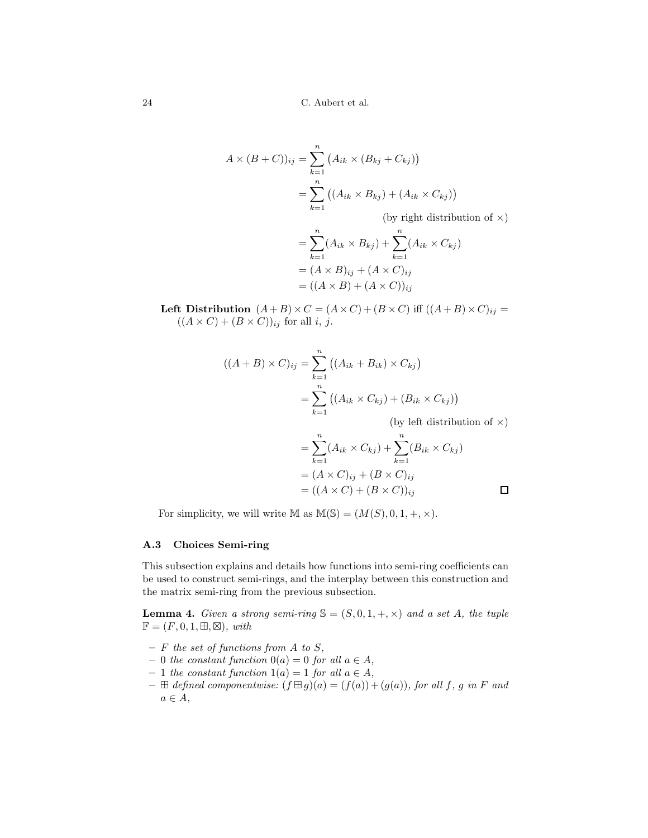$$
A \times (B + C))_{ij} = \sum_{k=1}^{n} (A_{ik} \times (B_{kj} + C_{kj}))
$$
  
= 
$$
\sum_{k=1}^{n} ((A_{ik} \times B_{kj}) + (A_{ik} \times C_{kj}))
$$

(by right distribution of  $\times)$ 

$$
= \sum_{k=1}^{n} (A_{ik} \times B_{kj}) + \sum_{k=1}^{n} (A_{ik} \times C_{kj})
$$

$$
= (A \times B)_{ij} + (A \times C)_{ij}
$$

$$
= ((A \times B) + (A \times C))_{ij}
$$

Left Distribution  $(A+B)\times C = (A\times C)+(B\times C)$  iff  $((A+B)\times C)_{ij} =$  $((A \times C) + (B \times C))_{ij}$  for all *i*, *j*.

$$
((A + B) \times C)_{ij} = \sum_{k=1}^{n} ((A_{ik} + B_{ik}) \times C_{kj})
$$
  
= 
$$
\sum_{k=1}^{n} ((A_{ik} \times C_{kj}) + (B_{ik} \times C_{kj}))
$$
  
(by left distribution of ×)  
= 
$$
\sum_{k=1}^{n} (A_{ik} \times C_{kj}) + \sum_{k=1}^{n} (B_{ik} \times C_{kj})
$$

$$
= \sum_{k=1} (A_{ik} \times C_{kj}) + \sum_{k=1} (B_{ik} \times C_{kj})
$$
  

$$
= (A \times C)_{ij} + (B \times C)_{ij}
$$
  

$$
= ((A \times C) + (B \times C))_{ij}
$$

For simplicity, we will write  $M$  as  $M(S) = (M(S), 0, 1, +, \times)$ .

## <span id="page-23-0"></span>A.3 Choices Semi-ring

This subsection explains and details how functions into semi-ring coefficients can be used to construct semi-rings, and the interplay between this construction and the matrix semi-ring from the previous subsection.

<span id="page-23-1"></span>**Lemma 4.** Given a strong semi-ring  $\mathbb{S} = (S, 0, 1, +, \times)$  and a set A, the tuple  $\mathbb{F} = (F, 0, 1, \boxplus, \boxtimes), \text{ with}$ 

- $-$  F the set of functions from A to S,
- $0$  the constant function  $0(a) = 0$  for all  $a \in A$ ,
- $-1$  the constant function  $1(a) = 1$  for all  $a \in A$ ,
- $-\,\boxplus$  defined componentwise:  $(f \boxplus g)(a) = (f(a)) + (g(a)),$  for all f, g in F and  $a \in A$ ,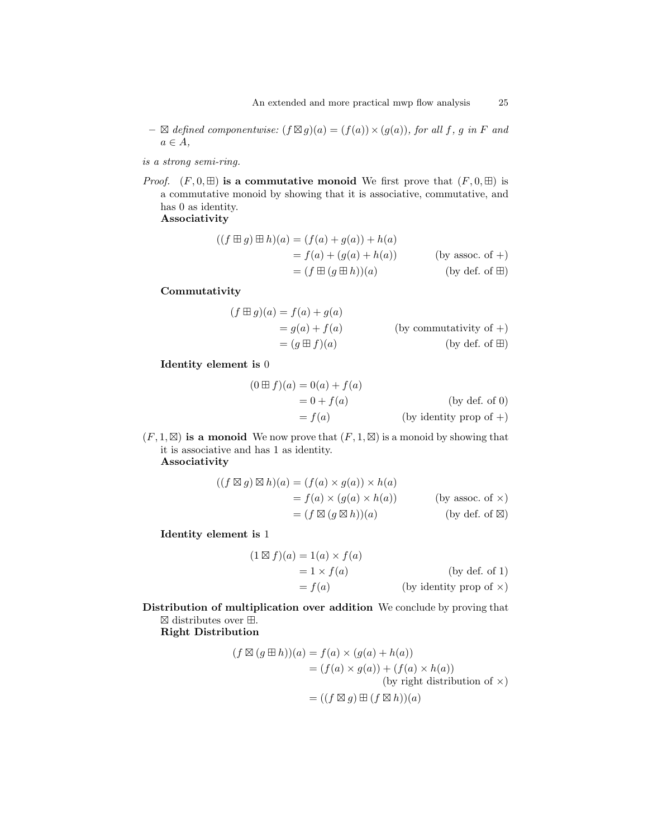- $\boxtimes defined componentwise: (f \boxtimes g)(a) = (f(a)) \times (g(a)),$  for all f, g in F and  $a \in A$ ,
- is a strong semi-ring.
- *Proof.*  $(F, 0, \boxplus)$  is a commutative monoid We first prove that  $(F, 0, \boxplus)$  is a commutative monoid by showing that it is associative, commutative, and has 0 as identity.

Associativity

$$
((f \boxplus g) \boxplus h)(a) = (f(a) + g(a)) + h(a)
$$
  
=  $f(a) + (g(a) + h(a))$  (by assoc. of +)  
=  $(f \boxplus (g \boxplus h))(a)$  (by def. of  $\boxplus$ )

Commutativity

$$
(f \boxplus g)(a) = f(a) + g(a)
$$
  
= g(a) + f(a) (by commutativity of +)  
= (g \boxplus f)(a) (by def. of  $\boxplus$ )

Identity element is 0

$$
(0 \boxplus f)(a) = 0(a) + f(a)
$$
  
= 0 + f(a) (by def. of 0)  
= f(a) (by identity prop of +)

 $(F, 1, \mathbb{Z})$  is a monoid We now prove that  $(F, 1, \mathbb{Z})$  is a monoid by showing that it is associative and has 1 as identity. Associativity

$$
((f \boxtimes g) \boxtimes h)(a) = (f(a) \times g(a)) \times h(a)
$$
  
=  $f(a) \times (g(a) \times h(a))$  (by assoc. of x)  
=  $(f \boxtimes (g \boxtimes h))(a)$  (by def. of  $\boxtimes$ )

Identity element is 1

$$
(1 \boxtimes f)(a) = 1(a) \times f(a)
$$
  
= 1 \times f(a) (by def. of 1)  
= f(a) (by identity prop of x)

Distribution of multiplication over addition We conclude by proving that ⊠ distributes over ⊞.

Right Distribution

$$
(f \boxtimes (g \boxplus h))(a) = f(a) \times (g(a) + h(a))
$$
  
=  $(f(a) \times g(a)) + (f(a) \times h(a))$   
(by right distribution of x)  
=  $((f \boxtimes g) \boxplus (f \boxtimes h))(a)$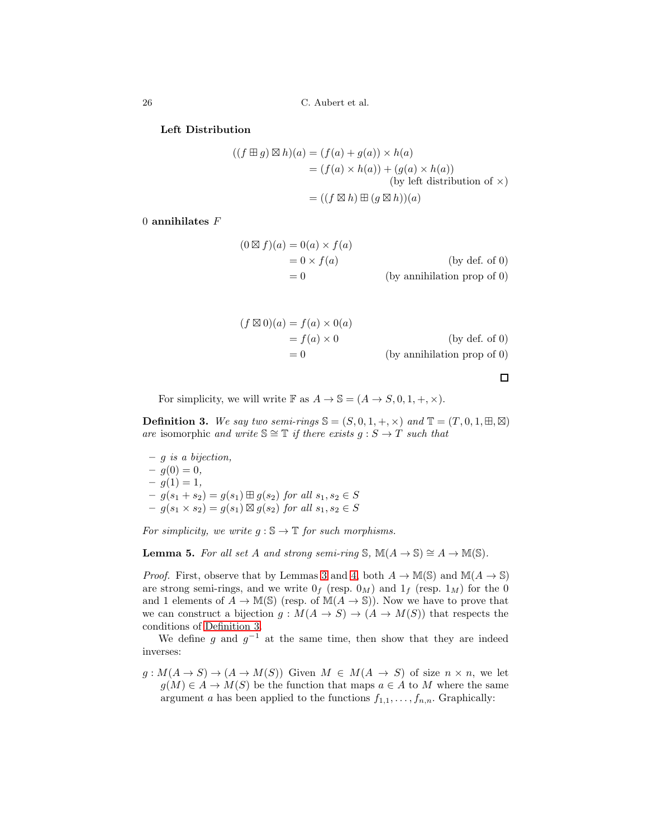26 C. Aubert et al.

#### Left Distribution

$$
((f \boxplus g) \boxtimes h)(a) = (f(a) + g(a)) \times h(a)
$$
  
=  $(f(a) \times h(a)) + (g(a) \times h(a))$   
(by left distribution of  $\times$ )  
=  $((f \boxtimes h) \boxplus (g \boxtimes h))(a)$ 

 $0$  annihilates  $F$ 

$$
(0 \boxtimes f)(a) = 0(a) \times f(a)
$$
  
= 0 \times f(a) (by def. of 0)  
= 0 (by annihilation prop of 0)

| $(f \boxtimes 0)(a) = f(a) \times 0(a)$ |                               |
|-----------------------------------------|-------------------------------|
| $= f(a) \times 0$                       | (by def. of 0)                |
| $= 0$                                   | $(by$ annihilation prop of 0) |

 $\Box$ 

<span id="page-25-1"></span>For simplicity, we will write  $\mathbb F$  as  $A \to \mathbb S = (A \to S, 0, 1, +, \times)$ .

**Definition 3.** We say two semi-rings  $\mathbb{S} = (S, 0, 1, +, \times)$  and  $\mathbb{T} = (T, 0, 1, \mathbb{H}, \mathbb{Z})$ are isomorphic and write  $\mathbb{S} \cong \mathbb{T}$  if there exists  $g : S \to T$  such that

 $- g$  is a bijection,  $-g(0) = 0,$  $- g(1) = 1,$  $-g(s_1 + s_2) = g(s_1) \boxplus g(s_2)$  for all  $s_1, s_2 \in S$  $-g(s_1 \times s_2) = g(s_1) \boxtimes g(s_2)$  for all  $s_1, s_2 \in S$ 

<span id="page-25-0"></span>For simplicity, we write  $g : \mathbb{S} \to \mathbb{T}$  for such morphisms.

**Lemma 5.** For all set A and strong semi-ring S,  $M(A \rightarrow S) \cong A \rightarrow M(S)$ .

*Proof.* First, observe that by Lemmas [3](#page-20-1) and [4,](#page-23-1) both  $A \to M(\mathbb{S})$  and  $M(A \to \mathbb{S})$ are strong semi-rings, and we write  $0_f$  (resp.  $0_M$ ) and  $1_f$  (resp.  $1_M$ ) for the 0 and 1 elements of  $A \to \mathbb{M}(\mathbb{S})$  (resp. of  $\mathbb{M}(A \to \mathbb{S})$ ). Now we have to prove that we can construct a bijection  $g : M(A \to S) \to (A \to M(S))$  that respects the conditions of [Definition 3.](#page-25-1)

We define g and  $g^{-1}$  at the same time, then show that they are indeed inverses:

 $g: M(A \to S) \to (A \to M(S))$  Given  $M \in M(A \to S)$  of size  $n \times n$ , we let  $g(M) \in A \to M(S)$  be the function that maps  $a \in A$  to M where the same argument a has been applied to the functions  $f_{1,1}, \ldots, f_{n,n}$ . Graphically: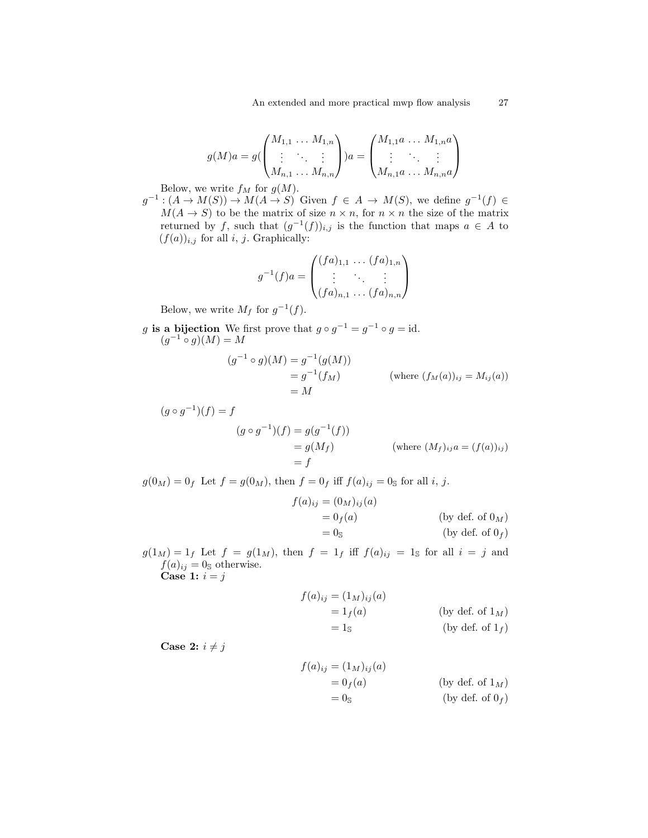$$
g(M)a = g(\begin{pmatrix} M_{1,1} & \dots & M_{1,n} \\ \vdots & \ddots & \vdots \\ M_{n,1} & \dots & M_{n,n} \end{pmatrix})a = \begin{pmatrix} M_{1,1}a & \dots & M_{1,n}a \\ \vdots & \ddots & \vdots \\ M_{n,1}a & \dots & M_{n,n}a \end{pmatrix}
$$

Below, we write  $f_M$  for  $g(M)$ .

 $g^{-1}:(A\to M(S))\to M(A\to S)$  Given  $f\in A\to M(S)$ , we define  $g^{-1}(f)\in$  $M(A \to S)$  to be the matrix of size  $n \times n$ , for  $n \times n$  the size of the matrix returned by f, such that  $(g^{-1}(f))_{i,j}$  is the function that maps  $a \in A$  to  $(f(a))_{i,j}$  for all i, j. Graphically:

$$
g^{-1}(f)a = \begin{pmatrix} (fa)_{1,1} & \dots & (fa)_{1,n} \\ \vdots & \ddots & \vdots \\ (fa)_{n,1} & \dots & (fa)_{n,n} \end{pmatrix}
$$

Below, we write  $M_f$  for  $g^{-1}(f)$ .

g is a bijection We first prove that  $g \circ g^{-1} = g^{-1} \circ g = id$ .  $(g^{-1} \circ g)(M) = M$ 

$$
(g^{-1} \circ g)(M) = g^{-1}(g(M))
$$
  
=  $g^{-1}(f_M)$  (where  $(f_M(a))_{ij} = M_{ij}(a)$ )  
=  $M$ 

$$
(g \circ g^{-1})(f) = f
$$
  
\n
$$
(g \circ g^{-1})(f) = g(g^{-1}(f))
$$
  
\n
$$
= g(M_f)
$$
 (where  $(M_f)_{ij}a = (f(a))_{ij}$ )  
\n
$$
= f
$$

 $g(0_M) = 0_f$  Let  $f = g(0_M)$ , then  $f = 0_f$  iff  $f(a)_{ij} = 0_S$  for all i, j.

$$
f(a)_{ij} = (0_M)_{ij}(a)
$$
  
= 0<sub>f</sub>(a)  
= 0<sub>S</sub> (by def. of 0<sub>M</sub>)  
(by def. of 0<sub>f</sub>)

 $g(1_M) = 1_f$  Let  $f = g(1_M)$ , then  $f = 1_f$  iff  $f(a)_{ij} = 1_g$  for all  $i = j$  and  $f(a)_{ij} = 0$ <sub>S</sub> otherwise. Case 1:  $i = j$ 

$$
f(a)_{ij} = (1_M)_{ij}(a)
$$
  
= 1<sub>f</sub>(a) (by def. of 1<sub>M</sub>)  
= 1<sub>S</sub> (by def. of 1<sub>f</sub>)

Case 2:  $i \neq j$ 

$$
f(a)_{ij} = (1_M)_{ij}(a)
$$
  
= 0<sub>f</sub>(a) (by def. of 1<sub>M</sub>)  
= 0<sub>S</sub> (by def. of 0<sub>f</sub>)